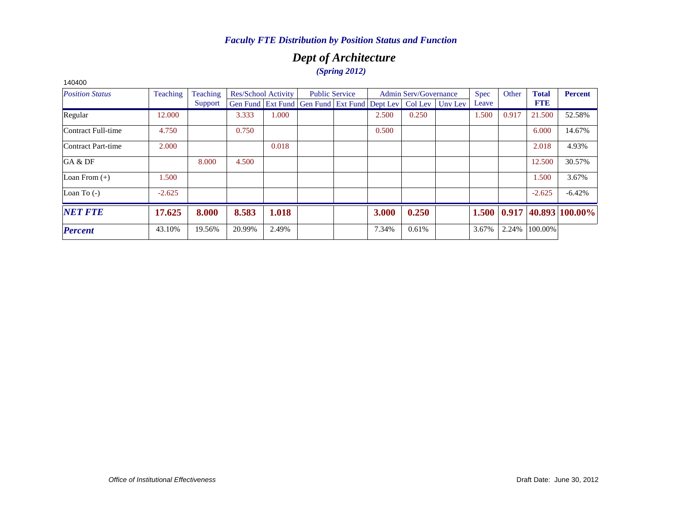## *Dept of Architecture (Spring 2012)*

| 140400                 |          |          |        |                            |                                                                |                       |       |                              |         |       |       |              |                |
|------------------------|----------|----------|--------|----------------------------|----------------------------------------------------------------|-----------------------|-------|------------------------------|---------|-------|-------|--------------|----------------|
| <b>Position Status</b> | Teaching | Teaching |        | <b>Res/School Activity</b> |                                                                | <b>Public Service</b> |       | <b>Admin Serv/Governance</b> |         | Spec  | Other | <b>Total</b> | <b>Percent</b> |
|                        |          | Support  |        |                            | Gen Fund   Ext Fund   Gen Fund   Ext Fund   Dept Lev   Col Lev |                       |       |                              | Unv Lev | Leave |       | <b>FTE</b>   |                |
| Regular                | 12.000   |          | 3.333  | 1.000                      |                                                                |                       | 2.500 | 0.250                        |         | 1.500 | 0.917 | 21.500       | 52.58%         |
| Contract Full-time     | 4.750    |          | 0.750  |                            |                                                                |                       | 0.500 |                              |         |       |       | 6.000        | 14.67%         |
| Contract Part-time     | 2.000    |          |        | 0.018                      |                                                                |                       |       |                              |         |       |       | 2.018        | 4.93%          |
| GA & DF                |          | 8.000    | 4.500  |                            |                                                                |                       |       |                              |         |       |       | 12.500       | 30.57%         |
| Loan From $(+)$        | 1.500    |          |        |                            |                                                                |                       |       |                              |         |       |       | 1.500        | 3.67%          |
| Loan To $(-)$          | $-2.625$ |          |        |                            |                                                                |                       |       |                              |         |       |       | $-2.625$     | $-6.42%$       |
| <b>NET FTE</b>         | 17.625   | 8.000    | 8.583  | 1.018                      |                                                                |                       | 3.000 | 0.250                        |         | 1.500 | 0.917 |              | 40.893 100.00% |
| <b>Percent</b>         | 43.10%   | 19.56%   | 20.99% | 2.49%                      |                                                                |                       | 7.34% | 0.61%                        |         | 3.67% | 2.24% | 100.00%      |                |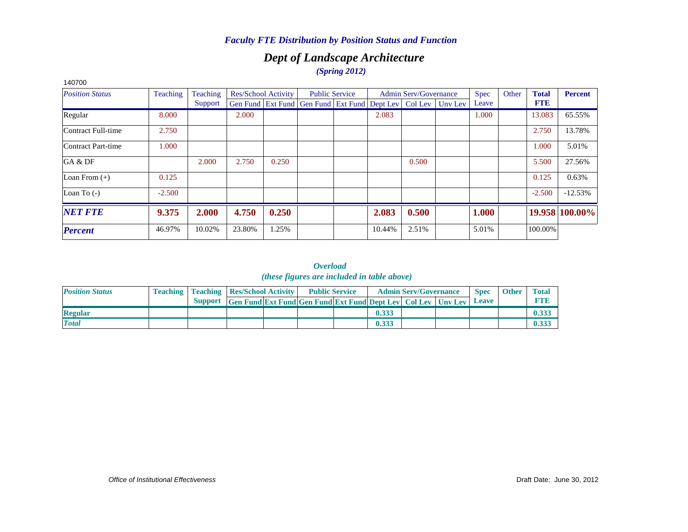## *Dept of Landscape Architecture (Spring 2012)*

| 140700                 |          |          |        |                     |                                                                |                       |        |                              |         |             |       |              |                |
|------------------------|----------|----------|--------|---------------------|----------------------------------------------------------------|-----------------------|--------|------------------------------|---------|-------------|-------|--------------|----------------|
| <b>Position Status</b> | Teaching | Teaching |        | Res/School Activity |                                                                | <b>Public Service</b> |        | <b>Admin Serv/Governance</b> |         | <b>Spec</b> | Other | <b>Total</b> | <b>Percent</b> |
|                        |          | Support  |        |                     | Gen Fund   Ext Fund   Gen Fund   Ext Fund   Dept Lev   Col Lev |                       |        |                              | Unv Lev | Leave       |       | <b>FTE</b>   |                |
| Regular                | 8.000    |          | 2.000  |                     |                                                                |                       | 2.083  |                              |         | 1.000       |       | 13.083       | 65.55%         |
| Contract Full-time     | 2.750    |          |        |                     |                                                                |                       |        |                              |         |             |       | 2.750        | 13.78%         |
| Contract Part-time     | 1.000    |          |        |                     |                                                                |                       |        |                              |         |             |       | 1.000        | 5.01%          |
| GA & DF                |          | 2.000    | 2.750  | 0.250               |                                                                |                       |        | 0.500                        |         |             |       | 5.500        | 27.56%         |
| Loan From $(+)$        | 0.125    |          |        |                     |                                                                |                       |        |                              |         |             |       | 0.125        | 0.63%          |
| Loan To $(-)$          | $-2.500$ |          |        |                     |                                                                |                       |        |                              |         |             |       | $-2.500$     | $-12.53%$      |
| <b>NET FTE</b>         | 9.375    | 2.000    | 4.750  | 0.250               |                                                                |                       | 2.083  | 0.500                        |         | 1.000       |       |              | 19.958 100.00% |
| <b>Percent</b>         | 46.97%   | 10.02%   | 23.80% | 1.25%               |                                                                |                       | 10.44% | 2.51%                        |         | 5.01%       |       | 100.00%      |                |

*Overload (these figures are included in table above)*

| <b>Position Status</b> | <b>Teaching   Teaching   Res/School Activity  </b> |                                                                           | <b>Public Service</b> |       | <b>Admin Serv/Governance</b> | <b>Spec</b> | <b>Other</b> | <b>Total</b> |
|------------------------|----------------------------------------------------|---------------------------------------------------------------------------|-----------------------|-------|------------------------------|-------------|--------------|--------------|
|                        | <b>Support</b>                                     | <b>Gen Fund Ext Fund Gen Fund Ext Fund Dept Lev   Col Lev   Unv Lev  </b> |                       |       |                              | Leave       |              | <b>FTH</b>   |
| <b>Regular</b>         |                                                    |                                                                           |                       | 0.333 |                              |             |              | 0.333        |
| <b>Total</b>           |                                                    |                                                                           |                       | 0.333 |                              |             |              | 0.333        |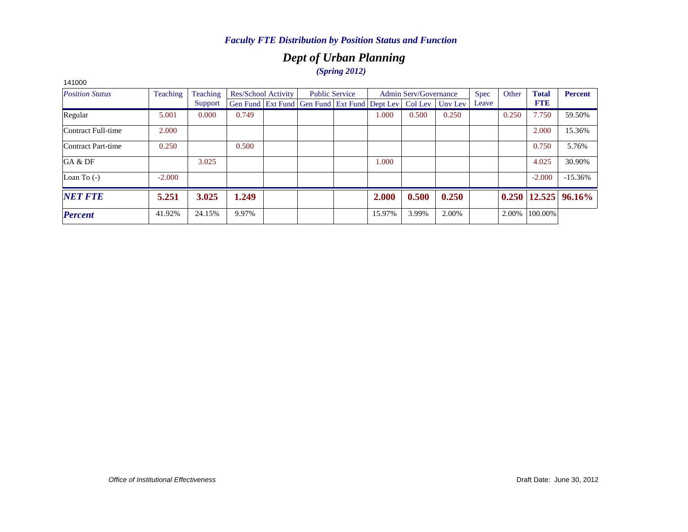## *Dept of Urban Planning (Spring 2012)*

| 141000                 |          |          |       |                     |                                                      |                       |        |                              |         |             |       |                  |                |
|------------------------|----------|----------|-------|---------------------|------------------------------------------------------|-----------------------|--------|------------------------------|---------|-------------|-------|------------------|----------------|
| <b>Position Status</b> | Teaching | Teaching |       | Res/School Activity |                                                      | <b>Public Service</b> |        | <b>Admin Serv/Governance</b> |         | <b>Spec</b> | Other | <b>Total</b>     | <b>Percent</b> |
|                        |          | Support  |       |                     | Gen Fund   Ext Fund   Gen Fund   Ext Fund   Dept Lev |                       |        | Col Lev                      | Unv Lev | Leave       |       | <b>FTE</b>       |                |
| Regular                | 5.001    | 0.000    | 0.749 |                     |                                                      |                       | 1.000  | 0.500                        | 0.250   |             | 0.250 | 7.750            | 59.50%         |
| Contract Full-time     | 2.000    |          |       |                     |                                                      |                       |        |                              |         |             |       | 2.000            | 15.36%         |
| Contract Part-time     | 0.250    |          | 0.500 |                     |                                                      |                       |        |                              |         |             |       | 0.750            | 5.76%          |
| GA & DF                |          | 3.025    |       |                     |                                                      |                       | 1.000  |                              |         |             |       | 4.025            | 30.90%         |
| Loan To $(-)$          | $-2.000$ |          |       |                     |                                                      |                       |        |                              |         |             |       | $-2.000$         | $-15.36%$      |
| <b>NET FTE</b>         | 5.251    | 3.025    | 1.249 |                     |                                                      |                       | 2.000  | 0.500                        | 0.250   |             |       | $0.250$   12.525 | 96.16%         |
| <b>Percent</b>         | 41.92%   | 24.15%   | 9.97% |                     |                                                      |                       | 15.97% | 3.99%                        | 2.00%   |             | 2.00% | 100.00%          |                |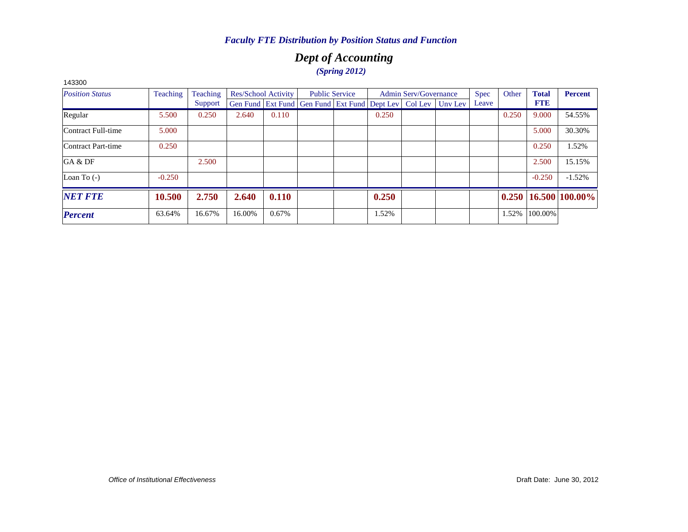## *Dept of Accounting (Spring 2012)*

| 143300                 |          |          |        |                            |                                                                  |                       |       |                              |             |       |              |                            |
|------------------------|----------|----------|--------|----------------------------|------------------------------------------------------------------|-----------------------|-------|------------------------------|-------------|-------|--------------|----------------------------|
| <b>Position Status</b> | Teaching | Teaching |        | <b>Res/School Activity</b> |                                                                  | <b>Public Service</b> |       | <b>Admin Serv/Governance</b> | <b>Spec</b> | Other | <b>Total</b> | <b>Percent</b>             |
|                        |          | Support  |        |                            | Gen Fund Ext Fund Gen Fund Ext Fund Dept Lev   Col Lev   Unv Lev |                       |       |                              | Leave       |       | <b>FTE</b>   |                            |
| Regular                | 5.500    | 0.250    | 2.640  | 0.110                      |                                                                  |                       | 0.250 |                              |             | 0.250 | 9.000        | 54.55%                     |
| Contract Full-time     | 5.000    |          |        |                            |                                                                  |                       |       |                              |             |       | 5.000        | 30.30%                     |
| Contract Part-time     | 0.250    |          |        |                            |                                                                  |                       |       |                              |             |       | 0.250        | 1.52%                      |
| GA & DF                |          | 2.500    |        |                            |                                                                  |                       |       |                              |             |       | 2.500        | 15.15%                     |
| Loan To $(-)$          | $-0.250$ |          |        |                            |                                                                  |                       |       |                              |             |       | $-0.250$     | $-1.52%$                   |
| <b>NET FTE</b>         | 10.500   | 2.750    | 2.640  | 0.110                      |                                                                  |                       | 0.250 |                              |             |       |              | $0.250$   16.500   100.00% |
| <b>Percent</b>         | 63.64%   | 16.67%   | 16.00% | 0.67%                      |                                                                  |                       | 1.52% |                              |             | 1.52% | 100.00%      |                            |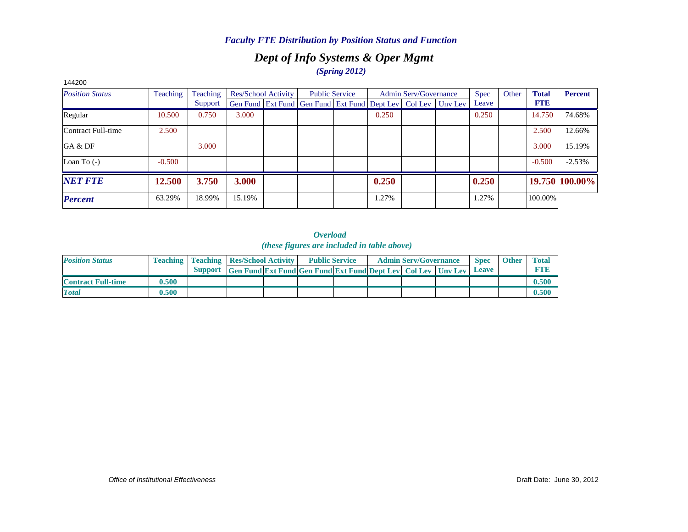## *Dept of Info Systems & Oper Mgmt (Spring 2012)*

| 144200                 |          |          |        |                            |                                                                |       |                              |         |             |       |              |                |
|------------------------|----------|----------|--------|----------------------------|----------------------------------------------------------------|-------|------------------------------|---------|-------------|-------|--------------|----------------|
| <b>Position Status</b> | Teaching | Teaching |        | <b>Res/School Activity</b> | <b>Public Service</b>                                          |       | <b>Admin Serv/Governance</b> |         | <b>Spec</b> | Other | <b>Total</b> | <b>Percent</b> |
|                        |          | Support  |        |                            | Gen Fund   Ext Fund   Gen Fund   Ext Fund   Dept Lev   Col Lev |       |                              | Unv Lev | Leave       |       | <b>FTE</b>   |                |
| Regular                | 10.500   | 0.750    | 3.000  |                            |                                                                | 0.250 |                              |         | 0.250       |       | 14.750       | 74.68%         |
| Contract Full-time     | 2.500    |          |        |                            |                                                                |       |                              |         |             |       | 2.500        | 12.66%         |
| GA & DF                |          | 3.000    |        |                            |                                                                |       |                              |         |             |       | 3.000        | 15.19%         |
| Loan To $(-)$          | $-0.500$ |          |        |                            |                                                                |       |                              |         |             |       | $-0.500$     | $-2.53%$       |
| <b>NET FTE</b>         | 12.500   | 3.750    | 3.000  |                            |                                                                | 0.250 |                              |         | 0.250       |       |              | 19.750 100.00% |
| <b>Percent</b>         | 63.29%   | 18.99%   | 15.19% |                            |                                                                | 1.27% |                              |         | 1.27%       |       | 100.00%      |                |

#### *Overload (these figures are included in table above)*

| <b>Position Status</b>    |       | <b>Teaching   Teaching   Res/School Activity  </b> |                                                                     | <b>Public Service</b> |  | <b>Admin Serv/Governance</b> | <b>Spec</b>  | <b>Other</b> | <b>Total</b> |
|---------------------------|-------|----------------------------------------------------|---------------------------------------------------------------------|-----------------------|--|------------------------------|--------------|--------------|--------------|
|                           |       | <b>Support</b>                                     | <b>Gen Fund Ext Fund Gen Fund Ext Fund Dept Lev Col Lev Unv Lev</b> |                       |  |                              | <b>Leave</b> |              |              |
| <b>Contract Full-time</b> | 0.500 |                                                    |                                                                     |                       |  |                              |              |              | 0.500        |
| <b>Total</b>              | 0.500 |                                                    |                                                                     |                       |  |                              |              |              | 0.500        |

#### *Office of Institutional Effectiveness* Draft Date: June 30, 2012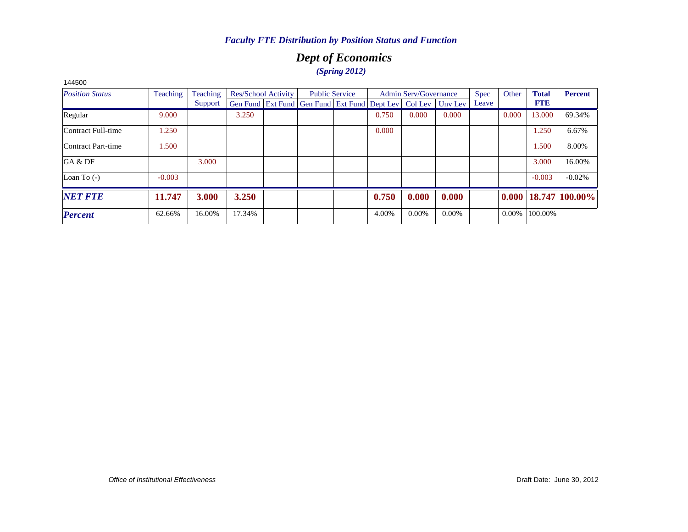## *Dept of Economics (Spring 2012)*

| 144500                 |          |          |        |                     |                                                      |                       |       |                              |                 |             |          |              |                            |
|------------------------|----------|----------|--------|---------------------|------------------------------------------------------|-----------------------|-------|------------------------------|-----------------|-------------|----------|--------------|----------------------------|
| <b>Position Status</b> | Teaching | Teaching |        | Res/School Activity |                                                      | <b>Public Service</b> |       | <b>Admin Serv/Governance</b> |                 | <b>Spec</b> | Other    | <b>Total</b> | <b>Percent</b>             |
|                        |          | Support  |        |                     | Gen Fund   Ext Fund   Gen Fund   Ext Fund   Dept Lev |                       |       |                              | Col Lev Unv Lev | Leave       |          | <b>FTE</b>   |                            |
| Regular                | 9.000    |          | 3.250  |                     |                                                      |                       | 0.750 | 0.000                        | 0.000           |             | 0.000    | 13.000       | 69.34%                     |
| Contract Full-time     | 1.250    |          |        |                     |                                                      |                       | 0.000 |                              |                 |             |          | 1.250        | 6.67%                      |
| Contract Part-time     | 1.500    |          |        |                     |                                                      |                       |       |                              |                 |             |          | 1.500        | 8.00%                      |
| GA & DF                |          | 3.000    |        |                     |                                                      |                       |       |                              |                 |             |          | 3.000        | 16.00%                     |
| Loan To $(-)$          | $-0.003$ |          |        |                     |                                                      |                       |       |                              |                 |             |          | $-0.003$     | $-0.02%$                   |
| <b>NET FTE</b>         | 11.747   | 3.000    | 3.250  |                     |                                                      |                       | 0.750 | 0.000                        | 0.000           |             |          |              | $0.000$   18.747   100.00% |
| <b>Percent</b>         | 62.66%   | 16.00%   | 17.34% |                     |                                                      |                       | 4.00% | $0.00\%$                     | $0.00\%$        |             | $0.00\%$ | 100.00%      |                            |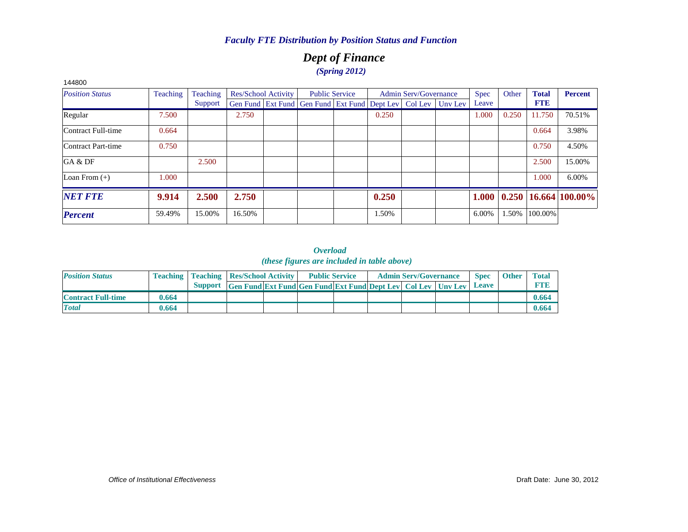## *Dept of Finance (Spring 2012)*

| 144800                 |          |          |        |                            |                                                                |       |                              |         |             |       |              |                            |
|------------------------|----------|----------|--------|----------------------------|----------------------------------------------------------------|-------|------------------------------|---------|-------------|-------|--------------|----------------------------|
| <b>Position Status</b> | Teaching | Teaching |        | <b>Res/School Activity</b> | <b>Public Service</b>                                          |       | <b>Admin Serv/Governance</b> |         | <b>Spec</b> | Other | <b>Total</b> | <b>Percent</b>             |
|                        |          | Support  |        |                            | Gen Fund   Ext Fund   Gen Fund   Ext Fund   Dept Lev   Col Lev |       |                              | Unv Lev | Leave       |       | <b>FTE</b>   |                            |
| Regular                | 7.500    |          | 2.750  |                            |                                                                | 0.250 |                              |         | 1.000       | 0.250 | 11.750       | 70.51%                     |
| Contract Full-time     | 0.664    |          |        |                            |                                                                |       |                              |         |             |       | 0.664        | 3.98%                      |
| Contract Part-time     | 0.750    |          |        |                            |                                                                |       |                              |         |             |       | 0.750        | 4.50%                      |
| GA & DF                |          | 2.500    |        |                            |                                                                |       |                              |         |             |       | 2.500        | 15.00%                     |
| Loan From $(+)$        | 1.000    |          |        |                            |                                                                |       |                              |         |             |       | 1.000        | 6.00%                      |
| <b>NET FTE</b>         | 9.914    | 2.500    | 2.750  |                            |                                                                | 0.250 |                              |         | 1.000       |       |              | $0.250$   16.664   100.00% |
| <b>Percent</b>         | 59.49%   | 15.00%   | 16.50% |                            |                                                                | 1.50% |                              |         | 6.00%       | 1.50% | 100.00%      |                            |

| <b>Position Status</b>    |       | <b>Teaching   Teaching   Res/School Activity  </b> |                                                                          | <b>Public Service</b> |  | <b>Admin Serv/Governance</b> | <b>Spec</b>  | <b>Other</b> | <b>Total</b> |
|---------------------------|-------|----------------------------------------------------|--------------------------------------------------------------------------|-----------------------|--|------------------------------|--------------|--------------|--------------|
|                           |       |                                                    | Support Gen Fund Ext Fund Gen Fund Ext Fund Dept Lev   Col Lev   Unv Lev |                       |  |                              | <b>Leave</b> |              | FTF          |
| <b>Contract Full-time</b> | 0.664 |                                                    |                                                                          |                       |  |                              |              |              | 0.664        |
| <b>Total</b>              | 0.664 |                                                    |                                                                          |                       |  |                              |              |              | 0.664        |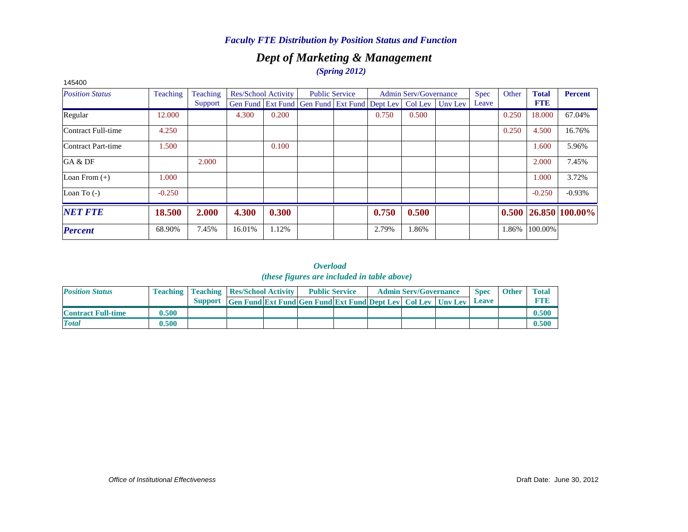## *Dept of Marketing & Management (Spring 2012)*

| 145400                 |          |          |        |                            |                                                      |       |                              |         |       |       |              |                            |
|------------------------|----------|----------|--------|----------------------------|------------------------------------------------------|-------|------------------------------|---------|-------|-------|--------------|----------------------------|
| <b>Position Status</b> | Teaching | Teaching |        | <b>Res/School Activity</b> | <b>Public Service</b>                                |       | <b>Admin Serv/Governance</b> |         | Spec  | Other | <b>Total</b> | Percent                    |
|                        |          | Support  |        |                            | Gen Fund   Ext Fund   Gen Fund   Ext Fund   Dept Lev |       | Col Lev                      | Unv Lev | Leave |       | <b>FTE</b>   |                            |
| Regular                | 12.000   |          | 4.300  | 0.200                      |                                                      | 0.750 | 0.500                        |         |       | 0.250 | 18.000       | 67.04%                     |
| Contract Full-time     | 4.250    |          |        |                            |                                                      |       |                              |         |       | 0.250 | 4.500        | 16.76%                     |
| Contract Part-time     | 1.500    |          |        | 0.100                      |                                                      |       |                              |         |       |       | 1.600        | 5.96%                      |
| GA & DF                |          | 2.000    |        |                            |                                                      |       |                              |         |       |       | 2.000        | 7.45%                      |
| Loan From $(+)$        | 1.000    |          |        |                            |                                                      |       |                              |         |       |       | 1.000        | 3.72%                      |
| Loan To $(-)$          | $-0.250$ |          |        |                            |                                                      |       |                              |         |       |       | $-0.250$     | $-0.93%$                   |
| <b>NET FTE</b>         | 18.500   | 2.000    | 4.300  | 0.300                      |                                                      | 0.750 | 0.500                        |         |       |       |              | $0.500$   26.850   100.00% |
| <b>Percent</b>         | 68.90%   | 7.45%    | 16.01% | 1.12%                      |                                                      | 2.79% | 1.86%                        |         |       | 1.86% | 100.00%      |                            |

*Overload (these figures are included in table above)*

| <b>Position Status</b>    |       | <b>Teaching   Teaching   Res/School Activity  </b> |                                                                           | <b>Public Service</b> |  | <b>Admin Serv/Governance</b> | Spec         | <b>Other</b> | <b>Total</b> |
|---------------------------|-------|----------------------------------------------------|---------------------------------------------------------------------------|-----------------------|--|------------------------------|--------------|--------------|--------------|
|                           |       | <b>Support</b>                                     | <b>Gen Fund Ext Fund Gen Fund Ext Fund Dept Lev   Col Lev   Unv Lev  </b> |                       |  |                              | <b>Leave</b> |              | <b>FTH</b>   |
| <b>Contract Full-time</b> | 0.500 |                                                    |                                                                           |                       |  |                              |              |              | 0.500        |
| <b>Total</b>              | 0.500 |                                                    |                                                                           |                       |  |                              |              |              | 0.500        |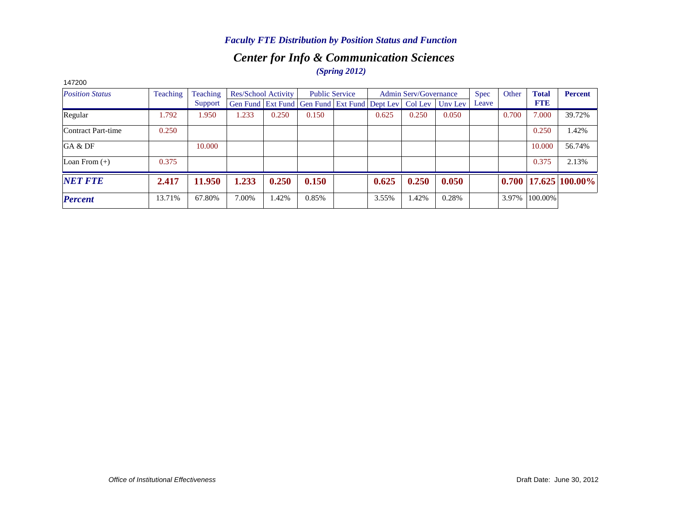## *Center for Info & Communication Sciences (Spring 2012)*

| 147200                 |          |          |       |                     |                                                                |                       |       |                              |         |             |       |              |                |
|------------------------|----------|----------|-------|---------------------|----------------------------------------------------------------|-----------------------|-------|------------------------------|---------|-------------|-------|--------------|----------------|
| <b>Position Status</b> | Teaching | Teaching |       | Res/School Activity |                                                                | <b>Public Service</b> |       | <b>Admin Serv/Governance</b> |         | <b>Spec</b> | Other | <b>Total</b> | <b>Percent</b> |
|                        |          | Support  |       |                     | Gen Fund   Ext Fund   Gen Fund   Ext Fund   Dept Lev   Col Lev |                       |       |                              | Unv Lev | Leave       |       | <b>FTE</b>   |                |
| Regular                | 1.792    | 1.950    | 1.233 | 0.250               | 0.150                                                          |                       | 0.625 | 0.250                        | 0.050   |             | 0.700 | 7.000        | 39.72%         |
| Contract Part-time     | 0.250    |          |       |                     |                                                                |                       |       |                              |         |             |       | 0.250        | 1.42%          |
| GA & DF                |          | 10.000   |       |                     |                                                                |                       |       |                              |         |             |       | 10.000       | 56.74%         |
| Loan From $(+)$        | 0.375    |          |       |                     |                                                                |                       |       |                              |         |             |       | 0.375        | 2.13%          |
| <b>NET FTE</b>         | 2.417    | 11.950   | .233  | 0.250               | 0.150                                                          |                       | 0.625 | 0.250                        | 0.050   |             | 0.700 |              | 17.625 100.00% |
| <b>Percent</b>         | 13.71%   | 67.80%   | 7.00% | 1.42%               | 0.85%                                                          |                       | 3.55% | 1.42%                        | 0.28%   |             | 3.97% | 100.00%      |                |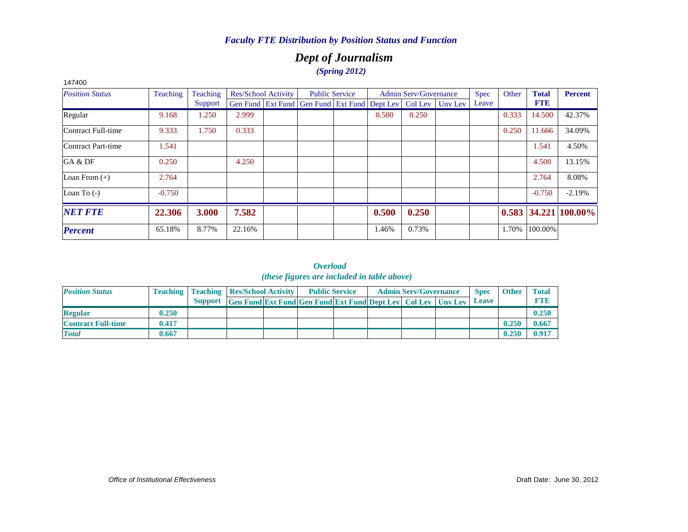## *Dept of Journalism (Spring 2012)*

| 147400                 |          |          |        |                     |                                                                          |       |                              |       |       |              |                        |
|------------------------|----------|----------|--------|---------------------|--------------------------------------------------------------------------|-------|------------------------------|-------|-------|--------------|------------------------|
| <b>Position Status</b> | Teaching | Teaching |        | Res/School Activity | <b>Public Service</b>                                                    |       | <b>Admin Serv/Governance</b> | Spec  | Other | <b>Total</b> | <b>Percent</b>         |
|                        |          | Support  |        |                     | Gen Fund   Ext Fund   Gen Fund   Ext Fund   Dept Lev   Col Lev   Unv Lev |       |                              | Leave |       | <b>FTE</b>   |                        |
| Regular                | 9.168    | 1.250    | 2.999  |                     |                                                                          | 0.500 | 0.250                        |       | 0.333 | 14.500       | 42.37%                 |
| Contract Full-time     | 9.333    | 1.750    | 0.333  |                     |                                                                          |       |                              |       | 0.250 | 11.666       | 34.09%                 |
| Contract Part-time     | 1.541    |          |        |                     |                                                                          |       |                              |       |       | 1.541        | 4.50%                  |
| GA & DF                | 0.250    |          | 4.250  |                     |                                                                          |       |                              |       |       | 4.500        | 13.15%                 |
| Loan From $(+)$        | 2.764    |          |        |                     |                                                                          |       |                              |       |       | 2.764        | 8.08%                  |
| Loan To $(-)$          | $-0.750$ |          |        |                     |                                                                          |       |                              |       |       | $-0.750$     | $-2.19%$               |
| <b>NET FTE</b>         | 22.306   | 3.000    | 7.582  |                     |                                                                          | 0.500 | 0.250                        |       |       |              | $0.583$ 34.221 100.00% |
| <b>Percent</b>         | 65.18%   | 8.77%    | 22.16% |                     |                                                                          | 1.46% | 0.73%                        |       | 1.70% | 100.00%      |                        |

*Overload (these figures are included in table above)*

| <b>Position Status</b>    |       | <b>Teaching   Teaching   Res/School Activity  </b> |                                                                           | <b>Public Service</b> |  | <b>Admin Serv/Governance</b> | <b>Spec</b> | <b>Other</b> | <b>Total</b> |
|---------------------------|-------|----------------------------------------------------|---------------------------------------------------------------------------|-----------------------|--|------------------------------|-------------|--------------|--------------|
|                           |       | Support                                            | <b>Gen Fund Ext Fund Gen Fund Ext Fund Dept Lev   Col Lev   Unv Lev  </b> |                       |  |                              | Leave       |              | <b>FTI3</b>  |
| <b>Regular</b>            | 0.250 |                                                    |                                                                           |                       |  |                              |             |              | 0.250        |
| <b>Contract Full-time</b> | 0.417 |                                                    |                                                                           |                       |  |                              |             | 0.250        | 0.667        |
| <b>Total</b>              | 0.667 |                                                    |                                                                           |                       |  |                              |             | 0.250        | 0.917        |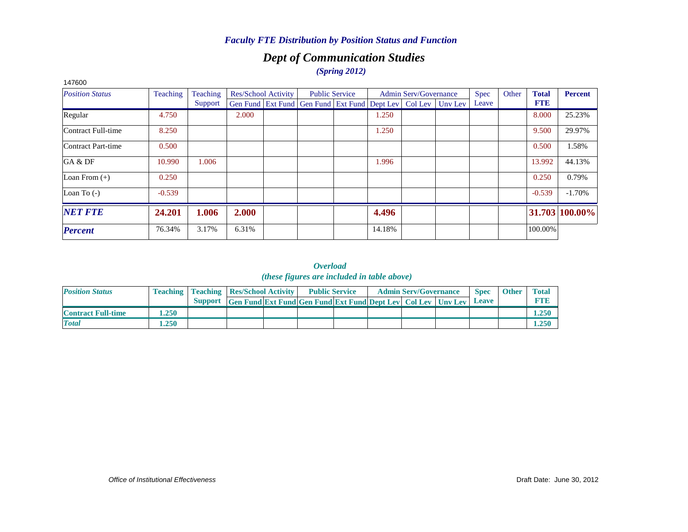## *Dept of Communication Studies (Spring 2012)*

| 147600                 |          |          |       |                            |                                                                  |        |                              |       |       |              |                |
|------------------------|----------|----------|-------|----------------------------|------------------------------------------------------------------|--------|------------------------------|-------|-------|--------------|----------------|
| <b>Position Status</b> | Teaching | Teaching |       | <b>Res/School Activity</b> | <b>Public Service</b>                                            |        | <b>Admin Serv/Governance</b> | Spec  | Other | <b>Total</b> | <b>Percent</b> |
|                        |          | Support  |       |                            | Gen Fund Ext Fund Gen Fund Ext Fund Dept Lev   Col Lev   Unv Lev |        |                              | Leave |       | <b>FTE</b>   |                |
| Regular                | 4.750    |          | 2.000 |                            |                                                                  | 1.250  |                              |       |       | 8.000        | 25.23%         |
| Contract Full-time     | 8.250    |          |       |                            |                                                                  | 1.250  |                              |       |       | 9.500        | 29.97%         |
| Contract Part-time     | 0.500    |          |       |                            |                                                                  |        |                              |       |       | 0.500        | 1.58%          |
| GA & DF                | 10.990   | 1.006    |       |                            |                                                                  | 1.996  |                              |       |       | 13.992       | 44.13%         |
| Loan From $(+)$        | 0.250    |          |       |                            |                                                                  |        |                              |       |       | 0.250        | 0.79%          |
| Loan To $(-)$          | $-0.539$ |          |       |                            |                                                                  |        |                              |       |       | $-0.539$     | $-1.70%$       |
| <b>NET FTE</b>         | 24.201   | 1.006    | 2.000 |                            |                                                                  | 4.496  |                              |       |       |              | 31.703 100.00% |
| <b>Percent</b>         | 76.34%   | 3.17%    | 6.31% |                            |                                                                  | 14.18% |                              |       |       | 100.00%      |                |

*Overload (these figures are included in table above)*

| <b>Position Status</b>    |      | <b>Teaching   Teaching   Res/School Activity  </b> |                                                                          |  | <b>Public Service</b> | <b>Admin Serv/Governance</b> | <b>Spec</b> | <b>Other</b> | <b>Total</b> |
|---------------------------|------|----------------------------------------------------|--------------------------------------------------------------------------|--|-----------------------|------------------------------|-------------|--------------|--------------|
|                           |      |                                                    | Support Gen Fund Ext Fund Gen Fund Ext Fund Dept Lev   Col Lev   Unv Lev |  |                       |                              | Leave       |              | <b>FTR</b>   |
| <b>Contract Full-time</b> | .250 |                                                    |                                                                          |  |                       |                              |             |              | 1.250        |
| <b>Total</b>              | .250 |                                                    |                                                                          |  |                       |                              |             |              | 1.250        |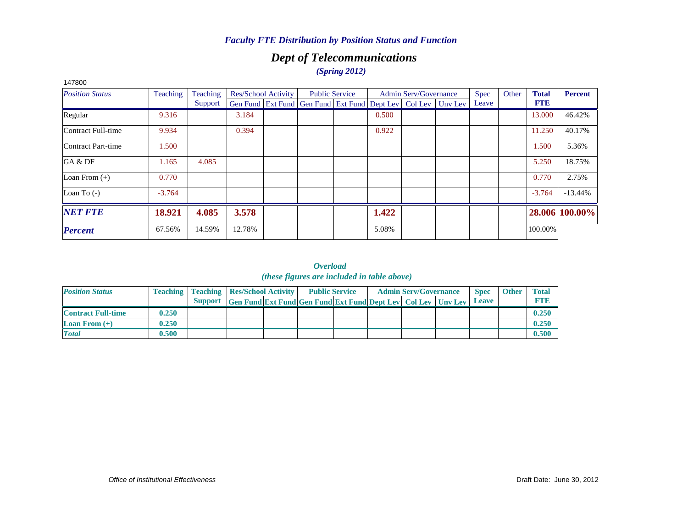## *Dept of Telecommunications (Spring 2012)*

| 147800                 |          |          |        |                            |                                                                          |       |                              |       |       |              |                |
|------------------------|----------|----------|--------|----------------------------|--------------------------------------------------------------------------|-------|------------------------------|-------|-------|--------------|----------------|
| <b>Position Status</b> | Teaching | Teaching |        | <b>Res/School Activity</b> | <b>Public Service</b>                                                    |       | <b>Admin Serv/Governance</b> | Spec  | Other | <b>Total</b> | <b>Percent</b> |
|                        |          | Support  |        |                            | Gen Fund   Ext Fund   Gen Fund   Ext Fund   Dept Lev   Col Lev   Unv Lev |       |                              | Leave |       | <b>FTE</b>   |                |
| Regular                | 9.316    |          | 3.184  |                            |                                                                          | 0.500 |                              |       |       | 13.000       | 46.42%         |
| Contract Full-time     | 9.934    |          | 0.394  |                            |                                                                          | 0.922 |                              |       |       | 11.250       | 40.17%         |
| Contract Part-time     | 1.500    |          |        |                            |                                                                          |       |                              |       |       | 1.500        | 5.36%          |
| GA & DF                | 1.165    | 4.085    |        |                            |                                                                          |       |                              |       |       | 5.250        | 18.75%         |
| Loan From $(+)$        | 0.770    |          |        |                            |                                                                          |       |                              |       |       | 0.770        | 2.75%          |
| Loan To $(-)$          | $-3.764$ |          |        |                            |                                                                          |       |                              |       |       | $-3.764$     | $-13.44%$      |
| <b>NET FTE</b>         | 18.921   | 4.085    | 3.578  |                            |                                                                          | 1.422 |                              |       |       |              | 28.006 100.00% |
| <b>Percent</b>         | 67.56%   | 14.59%   | 12.78% |                            |                                                                          | 5.08% |                              |       |       | 100.00%      |                |

*Overload (these figures are included in table above)*

| <b>Position Status</b>    |       | <b>Teaching   Teaching   Res/School Activity  </b> |                                                                           |  | <b>Public Service</b> | <b>Admin Serv/Governance</b> | <b>Spec</b>  | <b>Other</b> | <b>Total</b> |
|---------------------------|-------|----------------------------------------------------|---------------------------------------------------------------------------|--|-----------------------|------------------------------|--------------|--------------|--------------|
|                           |       | <b>Support</b>                                     | <b>Gen Fund Ext Fund Gen Fund Ext Fund Dept Lev   Col Lev   Unv Lev  </b> |  |                       |                              | <b>Leave</b> |              | <b>FTI3</b>  |
| <b>Contract Full-time</b> | 0.250 |                                                    |                                                                           |  |                       |                              |              |              | 0.250        |
| <b>Loan From</b> $(+)$    | 0.250 |                                                    |                                                                           |  |                       |                              |              |              | 0.250        |
| <b>Total</b>              | 0.500 |                                                    |                                                                           |  |                       |                              |              |              | 0.500        |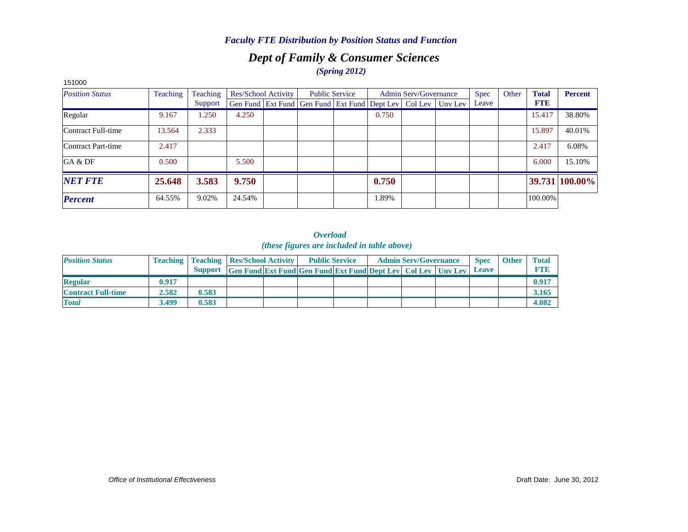## *Dept of Family & Consumer Sciences (Spring 2012)*

| 151000                 |          |          |        |                            |                                                                          |       |                              |             |       |              |                |
|------------------------|----------|----------|--------|----------------------------|--------------------------------------------------------------------------|-------|------------------------------|-------------|-------|--------------|----------------|
| <b>Position Status</b> | Teaching | Teaching |        | <b>Res/School Activity</b> | <b>Public Service</b>                                                    |       | <b>Admin Serv/Governance</b> | <b>Spec</b> | Other | <b>Total</b> | <b>Percent</b> |
|                        |          | Support  |        |                            | Gen Fund   Ext Fund   Gen Fund   Ext Fund   Dept Lev   Col Lev   Unv Lev |       |                              | Leave       |       | <b>FTE</b>   |                |
| Regular                | 9.167    | 1.250    | 4.250  |                            |                                                                          | 0.750 |                              |             |       | 15.417       | 38.80%         |
| Contract Full-time     | 13.564   | 2.333    |        |                            |                                                                          |       |                              |             |       | 15.897       | 40.01%         |
| Contract Part-time     | 2.417    |          |        |                            |                                                                          |       |                              |             |       | 2.417        | 6.08%          |
| GA & DF                | 0.500    |          | 5.500  |                            |                                                                          |       |                              |             |       | 6.000        | 15.10%         |
| <b>NET FTE</b>         | 25.648   | 3.583    | 9.750  |                            |                                                                          | 0.750 |                              |             |       |              | 39.731 100.00% |
| <b>Percent</b>         | 64.55%   | 9.02%    | 24.54% |                            |                                                                          | 1.89% |                              |             |       | 100.00%      |                |

*Overload (these figures are included in table above)*

| <b>Position Status</b>    |       | <b>Teaching   Teaching   Res/School Activity  </b> |                                                                      | <b>Public Service</b> |  | <b>Admin Serv/Governance</b> | <b>Spec</b>  | <b>Other</b> | <b>Total</b>  |
|---------------------------|-------|----------------------------------------------------|----------------------------------------------------------------------|-----------------------|--|------------------------------|--------------|--------------|---------------|
|                           |       |                                                    | Support Gen Fund Ext Fund Gen Fund Ext Fund Dept Lev Col Lev Unv Lev |                       |  |                              | <b>Leave</b> |              | <b>ET N B</b> |
| <b>Regular</b>            | 0.917 |                                                    |                                                                      |                       |  |                              |              |              | 0.91'         |
| <b>Contract Full-time</b> | 2.582 | 0.583                                              |                                                                      |                       |  |                              |              |              | 3.165         |
| <b>Total</b>              | 3.499 | 0.583                                              |                                                                      |                       |  |                              |              |              | 4.082         |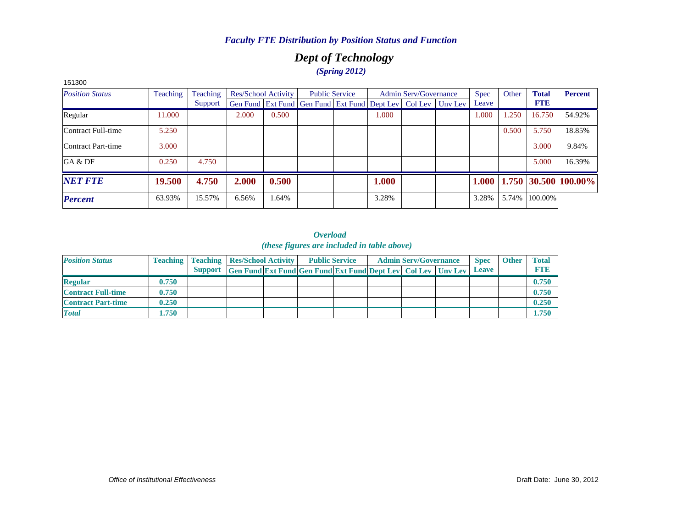## *Dept of Technology (Spring 2012)*

| 151300                 |          |          |       |                            |                                                                |       |                       |         |             |       |              |                      |
|------------------------|----------|----------|-------|----------------------------|----------------------------------------------------------------|-------|-----------------------|---------|-------------|-------|--------------|----------------------|
| <b>Position Status</b> | Teaching | Teaching |       | <b>Res/School Activity</b> | <b>Public Service</b>                                          |       | Admin Serv/Governance |         | <b>Spec</b> | Other | <b>Total</b> | <b>Percent</b>       |
|                        |          | Support  |       |                            | Gen Fund   Ext Fund   Gen Fund   Ext Fund   Dept Lev   Col Lev |       |                       | Unv Lev | Leave       |       | <b>FTE</b>   |                      |
| Regular                | 11.000   |          | 2.000 | 0.500                      |                                                                | 1.000 |                       |         | 1.000       | 1.250 | 16.750       | 54.92%               |
| Contract Full-time     | 5.250    |          |       |                            |                                                                |       |                       |         |             | 0.500 | 5.750        | 18.85%               |
| Contract Part-time     | 3.000    |          |       |                            |                                                                |       |                       |         |             |       | 3.000        | 9.84%                |
| GA & DF                | 0.250    | 4.750    |       |                            |                                                                |       |                       |         |             |       | 5.000        | 16.39%               |
| <b>NET FTE</b>         | 19.500   | 4.750    | 2.000 | 0.500                      |                                                                | 1.000 |                       |         | 1.000       |       |              | 1.750 30.500 100.00% |
| <b>Percent</b>         | 63.93%   | 15.57%   | 6.56% | 1.64%                      |                                                                | 3.28% |                       |         | 3.28%       | 5.74% | 100.00%      |                      |

| <b>Position Status</b>    |       | <b>Teaching   Teaching   Res/School Activity  </b> |                                                                     |  | <b>Public Service</b> | <b>Admin Serv/Governance</b> | <b>Spec</b>  | <b>Other</b> | <b>Total</b> |
|---------------------------|-------|----------------------------------------------------|---------------------------------------------------------------------|--|-----------------------|------------------------------|--------------|--------------|--------------|
|                           |       | <b>Support</b>                                     | <b>Gen Fund Ext Fund Gen Fund Ext Fund Dept Lev Col Lev Unv Lev</b> |  |                       |                              | <b>Leave</b> |              | <b>FTE</b>   |
| <b>Regular</b>            | 0.750 |                                                    |                                                                     |  |                       |                              |              |              | 0.750        |
| <b>Contract Full-time</b> | 0.750 |                                                    |                                                                     |  |                       |                              |              |              | 0.750        |
| <b>Contract Part-time</b> | 0.250 |                                                    |                                                                     |  |                       |                              |              |              | 0.250        |
| <b>Total</b>              | 1.750 |                                                    |                                                                     |  |                       |                              |              |              | 1.750        |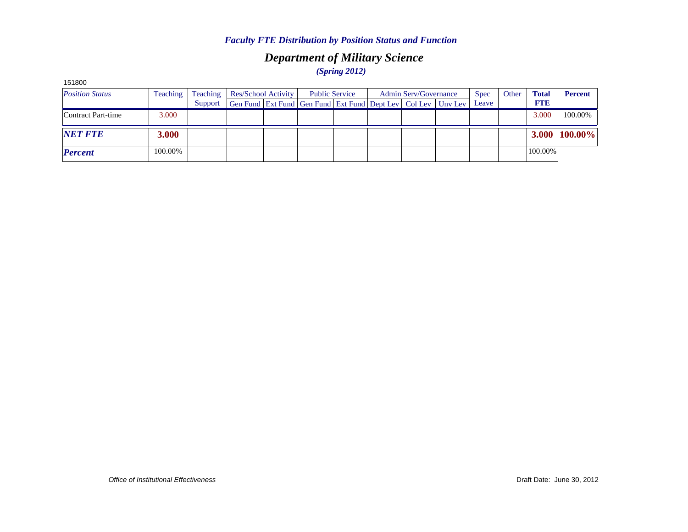## *Department of Military Science (Spring 2012)*

| 151800                 |          |          |                                                              |                       |  |                              |             |       |              |                |
|------------------------|----------|----------|--------------------------------------------------------------|-----------------------|--|------------------------------|-------------|-------|--------------|----------------|
| <b>Position Status</b> | Teaching | Teaching | Res/School Activity                                          | <b>Public Service</b> |  | <b>Admin Serv/Governance</b> | <b>Spec</b> | Other | <b>Total</b> | <b>Percent</b> |
|                        |          | Support  | Gen Fund Ext Fund Gen Fund Ext Fund Dept Lev Col Lev Unv Lev |                       |  |                              | Leave       |       | <b>FTE</b>   |                |
| Contract Part-time     | 3.000    |          |                                                              |                       |  |                              |             |       | 3.000        | 100.00%        |
| <b>NET FTE</b>         | 3.000    |          |                                                              |                       |  |                              |             |       |              | 3.000 100.00%  |
| <b>Percent</b>         | 100.00%  |          |                                                              |                       |  |                              |             |       | 100.00%      |                |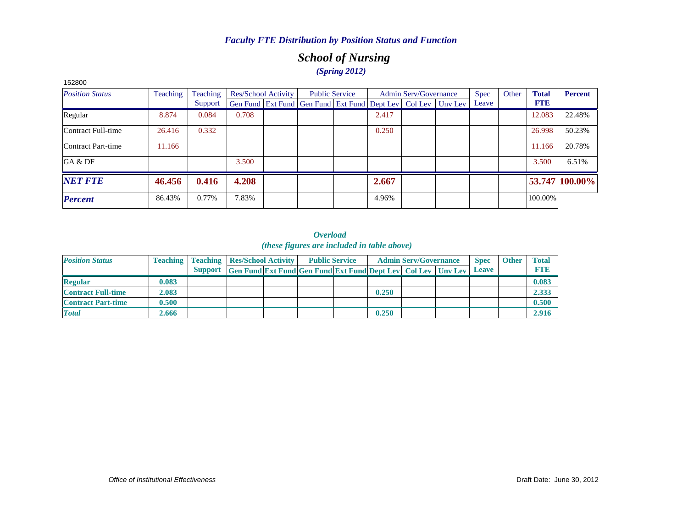## *School of Nursing (Spring 2012)*

| 152800                 |          |          |       |                     |                                                                          |       |                       |             |       |              |                |
|------------------------|----------|----------|-------|---------------------|--------------------------------------------------------------------------|-------|-----------------------|-------------|-------|--------------|----------------|
| <b>Position Status</b> | Teaching | Teaching |       | Res/School Activity | <b>Public Service</b>                                                    |       | Admin Serv/Governance | <b>Spec</b> | Other | <b>Total</b> | <b>Percent</b> |
|                        |          | Support  |       |                     | Gen Fund   Ext Fund   Gen Fund   Ext Fund   Dept Lev   Col Lev   Unv Lev |       |                       | Leave       |       | <b>FTE</b>   |                |
| Regular                | 8.874    | 0.084    | 0.708 |                     |                                                                          | 2.417 |                       |             |       | 12.083       | 22.48%         |
| Contract Full-time     | 26.416   | 0.332    |       |                     |                                                                          | 0.250 |                       |             |       | 26.998       | 50.23%         |
| Contract Part-time     | 11.166   |          |       |                     |                                                                          |       |                       |             |       | 11.166       | 20.78%         |
| GA & DF                |          |          | 3.500 |                     |                                                                          |       |                       |             |       | 3.500        | 6.51%          |
| <b>NET FTE</b>         | 46.456   | 0.416    | 4.208 |                     |                                                                          | 2.667 |                       |             |       |              | 53.747 100.00% |
| <b>Percent</b>         | 86.43%   | 0.77%    | 7.83% |                     |                                                                          | 4.96% |                       |             |       | 100.00%      |                |

*Overload (these figures are included in table above)*

| <b>Position Status</b>    |       | <b>Teaching   Teaching   Res/School Activity  </b> |                                                                      | <b>Public Service</b> |       | <b>Admin Serv/Governance</b> | <b>Spec</b>  | <b>Other</b> | <b>Total</b> |
|---------------------------|-------|----------------------------------------------------|----------------------------------------------------------------------|-----------------------|-------|------------------------------|--------------|--------------|--------------|
|                           |       |                                                    | Support Gen Fund Ext Fund Gen Fund Ext Fund Dept Lev Col Lev Unv Lev |                       |       |                              | <b>Leave</b> |              | <b>FTE</b>   |
| <b>Regular</b>            | 0.083 |                                                    |                                                                      |                       |       |                              |              |              | 0.083        |
| <b>Contract Full-time</b> | 2.083 |                                                    |                                                                      |                       | 0.250 |                              |              |              | 2.333        |
| <b>Contract Part-time</b> | 0.500 |                                                    |                                                                      |                       |       |                              |              |              | 0.500        |
| <b>Total</b>              | 2.666 |                                                    |                                                                      |                       | 0.250 |                              |              |              | 2.916        |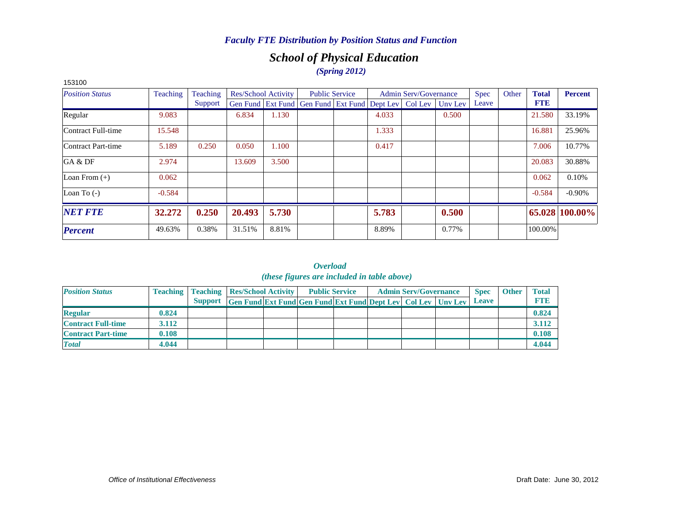## *School of Physical Education (Spring 2012)*

| 153100                 |          |          |                     |       |                                              |       |                              |         |             |       |              |                |
|------------------------|----------|----------|---------------------|-------|----------------------------------------------|-------|------------------------------|---------|-------------|-------|--------------|----------------|
| <b>Position Status</b> | Teaching | Teaching | Res/School Activity |       | <b>Public Service</b>                        |       | <b>Admin Serv/Governance</b> |         | <b>Spec</b> | Other | <b>Total</b> | Percent        |
|                        |          | Support  |                     |       | Gen Fund Ext Fund Gen Fund Ext Fund Dept Lev |       | Col Lev                      | Unv Lev | Leave       |       | <b>FTE</b>   |                |
| Regular                | 9.083    |          | 6.834               | 1.130 |                                              | 4.033 |                              | 0.500   |             |       | 21.580       | 33.19%         |
| Contract Full-time     | 15.548   |          |                     |       |                                              | 1.333 |                              |         |             |       | 16.881       | 25.96%         |
| Contract Part-time     | 5.189    | 0.250    | 0.050               | 1.100 |                                              | 0.417 |                              |         |             |       | 7.006        | 10.77%         |
| GA & DF                | 2.974    |          | 13.609              | 3.500 |                                              |       |                              |         |             |       | 20.083       | 30.88%         |
| Loan From $(+)$        | 0.062    |          |                     |       |                                              |       |                              |         |             |       | 0.062        | 0.10%          |
| Loan To $(-)$          | $-0.584$ |          |                     |       |                                              |       |                              |         |             |       | $-0.584$     | $-0.90\%$      |
| <b>NET FTE</b>         | 32.272   | 0.250    | 20.493              | 5.730 |                                              | 5.783 |                              | 0.500   |             |       |              | 65.028 100.00% |
| <b>Percent</b>         | 49.63%   | 0.38%    | 31.51%              | 8.81% |                                              | 8.89% |                              | 0.77%   |             |       | 100.00%      |                |

*Overload (these figures are included in table above)*

| <b>Position Status</b>    |       | <b>Teaching   Teaching   Res/School Activity  </b> |                                                                     | <b>Public Service</b> |  | <b>Admin Serv/Governance</b> | <b>Spec</b>  | <b>Other</b> | <b>Total</b> |
|---------------------------|-------|----------------------------------------------------|---------------------------------------------------------------------|-----------------------|--|------------------------------|--------------|--------------|--------------|
|                           |       | <b>Support</b>                                     | <b>Gen Fund Ext Fund Gen Fund Ext Fund Dept Lev Col Lev Unv Lev</b> |                       |  |                              | <b>Leave</b> |              |              |
| <b>Regular</b>            | 0.824 |                                                    |                                                                     |                       |  |                              |              |              | 0.824        |
| <b>Contract Full-time</b> | 3.112 |                                                    |                                                                     |                       |  |                              |              |              | 3.112        |
| <b>Contract Part-time</b> | 0.108 |                                                    |                                                                     |                       |  |                              |              |              | 0.108        |
| <b>Total</b>              | 4.044 |                                                    |                                                                     |                       |  |                              |              |              | 4.044        |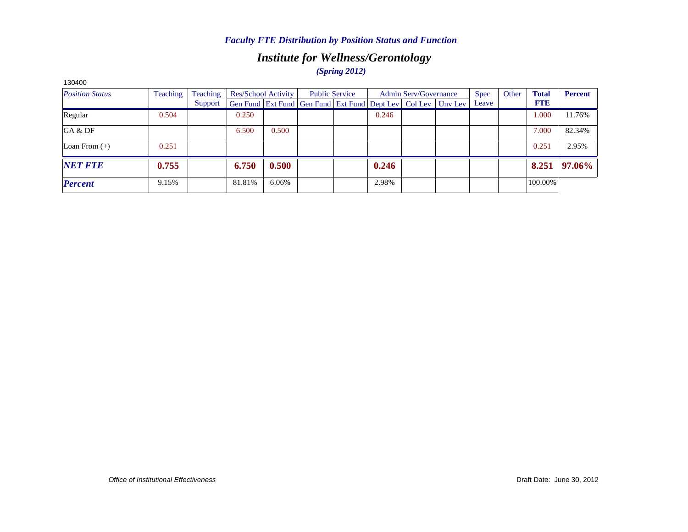## *Institute for Wellness/Gerontology (Spring 2012)*

| 130400                 |                 |          |        |                     |                                                              |                       |       |                              |             |       |              |                |
|------------------------|-----------------|----------|--------|---------------------|--------------------------------------------------------------|-----------------------|-------|------------------------------|-------------|-------|--------------|----------------|
| <b>Position Status</b> | <b>Teaching</b> | Teaching |        | Res/School Activity |                                                              | <b>Public Service</b> |       | <b>Admin Serv/Governance</b> | <b>Spec</b> | Other | <b>Total</b> | <b>Percent</b> |
|                        |                 | Support  |        |                     | Gen Fund Ext Fund Gen Fund Ext Fund Dept Lev Col Lev Unv Lev |                       |       |                              | Leave       |       | <b>FTE</b>   |                |
| Regular                | 0.504           |          | 0.250  |                     |                                                              |                       | 0.246 |                              |             |       | 1.000        | 11.76%         |
| GA & DF                |                 |          | 6.500  | 0.500               |                                                              |                       |       |                              |             |       | 7.000        | 82.34%         |
| Loan From $(+)$        | 0.251           |          |        |                     |                                                              |                       |       |                              |             |       | 0.251        | 2.95%          |
| <b>NET FTE</b>         | 0.755           |          | 6.750  | 0.500               |                                                              |                       | 0.246 |                              |             |       | 8.251        | 97.06%         |
| <b>Percent</b>         | 9.15%           |          | 81.81% | 6.06%               |                                                              |                       | 2.98% |                              |             |       | 100.00%      |                |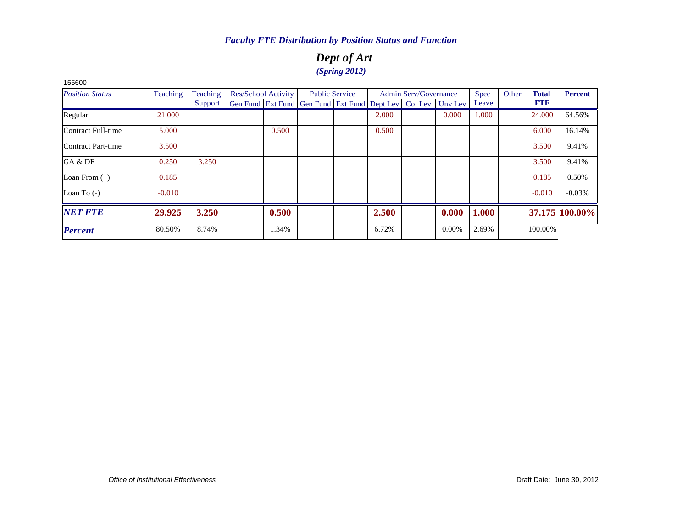## *Dept of Art (Spring 2012)*

| 155600                 |          |          |                            |       |                                                                |                       |       |                              |          |       |       |              |                |
|------------------------|----------|----------|----------------------------|-------|----------------------------------------------------------------|-----------------------|-------|------------------------------|----------|-------|-------|--------------|----------------|
| <b>Position Status</b> | Teaching | Teaching | <b>Res/School Activity</b> |       |                                                                | <b>Public Service</b> |       | <b>Admin Serv/Governance</b> |          | Spec  | Other | <b>Total</b> | <b>Percent</b> |
|                        |          | Support  |                            |       | Gen Fund   Ext Fund   Gen Fund   Ext Fund   Dept Lev   Col Lev |                       |       |                              | Unv Lev  | Leave |       | <b>FTE</b>   |                |
| Regular                | 21.000   |          |                            |       |                                                                |                       | 2.000 |                              | 0.000    | 1.000 |       | 24,000       | 64.56%         |
| Contract Full-time     | 5.000    |          |                            | 0.500 |                                                                |                       | 0.500 |                              |          |       |       | 6.000        | 16.14%         |
| Contract Part-time     | 3.500    |          |                            |       |                                                                |                       |       |                              |          |       |       | 3.500        | 9.41%          |
| GA & DF                | 0.250    | 3.250    |                            |       |                                                                |                       |       |                              |          |       |       | 3.500        | 9.41%          |
| Loan From $(+)$        | 0.185    |          |                            |       |                                                                |                       |       |                              |          |       |       | 0.185        | 0.50%          |
| Loan To $(-)$          | $-0.010$ |          |                            |       |                                                                |                       |       |                              |          |       |       | $-0.010$     | $-0.03%$       |
| <b>NET FTE</b>         | 29.925   | 3.250    |                            | 0.500 |                                                                |                       | 2.500 |                              | 0.000    | 1.000 |       |              | 37.175 100.00% |
| <b>Percent</b>         | 80.50%   | 8.74%    |                            | 1.34% |                                                                |                       | 6.72% |                              | $0.00\%$ | 2.69% |       | 100.00%      |                |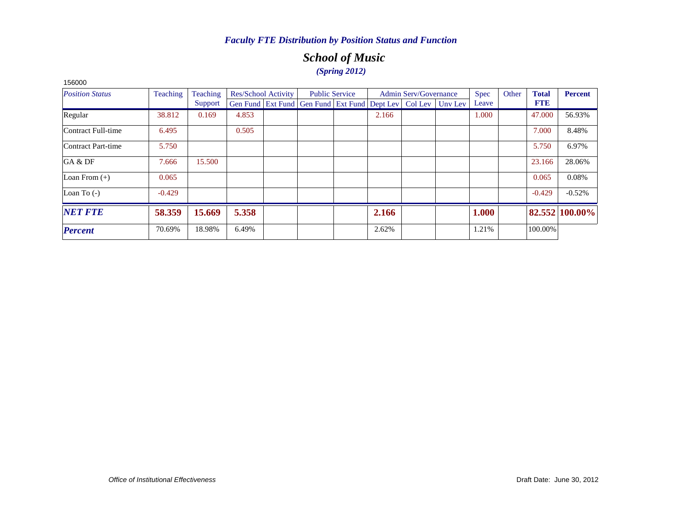## *School of Music (Spring 2012)*

| 156000                 |          |          |       |                            |                                                              |                       |       |                              |             |       |              |                |
|------------------------|----------|----------|-------|----------------------------|--------------------------------------------------------------|-----------------------|-------|------------------------------|-------------|-------|--------------|----------------|
| <b>Position Status</b> | Teaching | Teaching |       | <b>Res/School Activity</b> |                                                              | <b>Public Service</b> |       | <b>Admin Serv/Governance</b> | <b>Spec</b> | Other | <b>Total</b> | <b>Percent</b> |
|                        |          | Support  |       |                            | Gen Fund Ext Fund Gen Fund Ext Fund Dept Lev Col Lev Unv Lev |                       |       |                              | Leave       |       | <b>FTE</b>   |                |
| Regular                | 38.812   | 0.169    | 4.853 |                            |                                                              |                       | 2.166 |                              | 1.000       |       | 47.000       | 56.93%         |
| Contract Full-time     | 6.495    |          | 0.505 |                            |                                                              |                       |       |                              |             |       | 7.000        | 8.48%          |
| Contract Part-time     | 5.750    |          |       |                            |                                                              |                       |       |                              |             |       | 5.750        | 6.97%          |
| GA & DF                | 7.666    | 15.500   |       |                            |                                                              |                       |       |                              |             |       | 23.166       | 28.06%         |
| Loan From $(+)$        | 0.065    |          |       |                            |                                                              |                       |       |                              |             |       | 0.065        | 0.08%          |
| Loan To $(-)$          | $-0.429$ |          |       |                            |                                                              |                       |       |                              |             |       | $-0.429$     | $-0.52%$       |
| <b>NET FTE</b>         | 58.359   | 15.669   | 5.358 |                            |                                                              |                       | 2.166 |                              | 1.000       |       |              | 82.552 100.00% |
| <b>Percent</b>         | 70.69%   | 18.98%   | 6.49% |                            |                                                              |                       | 2.62% |                              | 1.21%       |       | 100.00%      |                |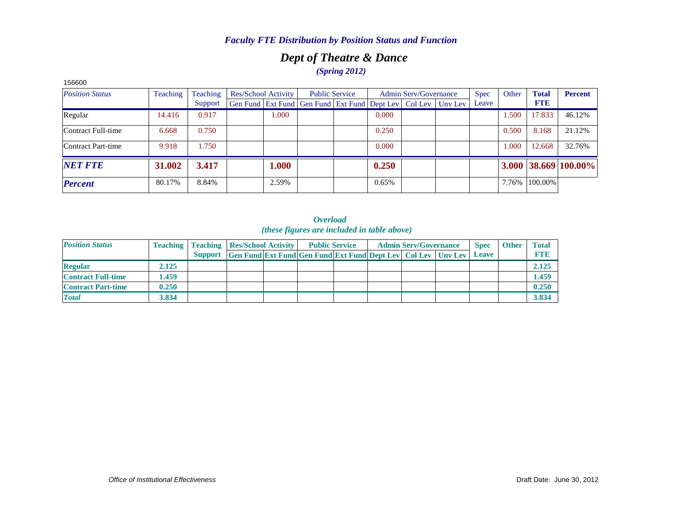## *Dept of Theatre & Dance (Spring 2012)*

| 156600                 |                 |          |                     |                                                                |                       |       |                              |         |             |       |              |                                         |
|------------------------|-----------------|----------|---------------------|----------------------------------------------------------------|-----------------------|-------|------------------------------|---------|-------------|-------|--------------|-----------------------------------------|
| <b>Position Status</b> | <b>Teaching</b> | Teaching | Res/School Activity |                                                                | <b>Public Service</b> |       | <b>Admin Serv/Governance</b> |         | <b>Spec</b> | Other | <b>Total</b> | <b>Percent</b>                          |
|                        |                 | Support  |                     | Gen Fund   Ext Fund   Gen Fund   Ext Fund   Dept Lev   Col Lev |                       |       |                              | Unv Lev | Leave       |       | <b>FTE</b>   |                                         |
| Regular                | 14.416          | 0.917    | 1.000               |                                                                |                       | 0.000 |                              |         |             | 1.500 | 17.833       | 46.12%                                  |
| Contract Full-time     | 6.668           | 0.750    |                     |                                                                |                       | 0.250 |                              |         |             | 0.500 | 8.168        | 21.12%                                  |
| Contract Part-time     | 9.918           | 1.750    |                     |                                                                |                       | 0.000 |                              |         |             | 1.000 | 12.668       | 32.76%                                  |
| <b>NET FTE</b>         | 31.002          | 3.417    | 1.000               |                                                                |                       | 0.250 |                              |         |             |       |              | $3.000 \,   \, 38.669 \,   \, 100.00\%$ |
| <b>Percent</b>         | 80.17%          | 8.84%    | 2.59%               |                                                                |                       | 0.65% |                              |         |             | 7.76% | 100.00%      |                                         |

| <b>Position Status</b>    |       |         | <b>Teaching   Teaching   Res/School Activity  </b>               | <b>Public Service</b> |  | <b>Admin Serv/Governance</b> | <b>Spec</b> | <b>Other</b> | <b>Total</b> |
|---------------------------|-------|---------|------------------------------------------------------------------|-----------------------|--|------------------------------|-------------|--------------|--------------|
|                           |       | Support | Gen Fund Ext Fund Gen Fund Ext Fund Dept Lev   Col Lev   Unv Lev |                       |  |                              | Leave       |              |              |
| <b>Regular</b>            | 2.125 |         |                                                                  |                       |  |                              |             |              | 2.125        |
| <b>Contract Full-time</b> | .459  |         |                                                                  |                       |  |                              |             |              | 1.459        |
| <b>Contract Part-time</b> | 0.250 |         |                                                                  |                       |  |                              |             |              | 0.250        |
| <b>Total</b>              | 3.834 |         |                                                                  |                       |  |                              |             |              | 3.834        |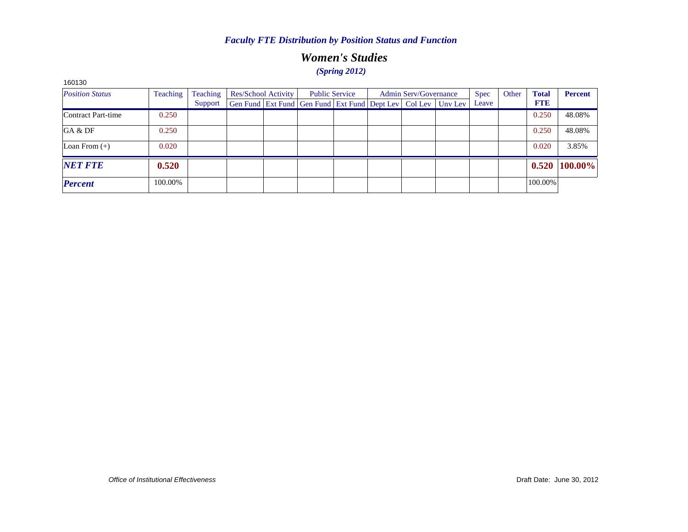## *Women's Studies (Spring 2012)*

| 160130                 |          |          |                                                              |  |                       |                              |             |       |              |                |
|------------------------|----------|----------|--------------------------------------------------------------|--|-----------------------|------------------------------|-------------|-------|--------------|----------------|
| <b>Position Status</b> | Teaching | Teaching | Res/School Activity                                          |  | <b>Public Service</b> | <b>Admin Serv/Governance</b> | <b>Spec</b> | Other | <b>Total</b> | <b>Percent</b> |
|                        |          | Support  | Gen Fund Ext Fund Gen Fund Ext Fund Dept Lev Col Lev Unv Lev |  |                       |                              | Leave       |       | <b>FTE</b>   |                |
| Contract Part-time     | 0.250    |          |                                                              |  |                       |                              |             |       | 0.250        | 48.08%         |
| GA & DF                | 0.250    |          |                                                              |  |                       |                              |             |       | 0.250        | 48.08%         |
| Loan From $(+)$        | 0.020    |          |                                                              |  |                       |                              |             |       | 0.020        | 3.85%          |
| <b>NET FTE</b>         | 0.520    |          |                                                              |  |                       |                              |             |       | 0.520        | 100.00%        |
| <b>Percent</b>         | 100.00%  |          |                                                              |  |                       |                              |             |       | 100.00%      |                |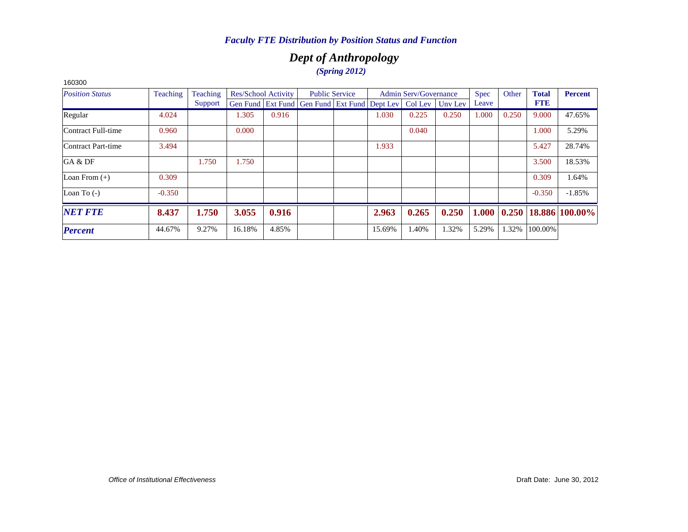## *Dept of Anthropology (Spring 2012)*

| 160300                 |          |          |        |                            |                                                                |                       |        |                              |         |       |       |              |                |
|------------------------|----------|----------|--------|----------------------------|----------------------------------------------------------------|-----------------------|--------|------------------------------|---------|-------|-------|--------------|----------------|
| <b>Position Status</b> | Teaching | Teaching |        | <b>Res/School Activity</b> |                                                                | <b>Public Service</b> |        | <b>Admin Serv/Governance</b> |         | Spec  | Other | <b>Total</b> | <b>Percent</b> |
|                        |          | Support  |        |                            | Gen Fund   Ext Fund   Gen Fund   Ext Fund   Dept Lev   Col Lev |                       |        |                              | Unv Lev | Leave |       | <b>FTE</b>   |                |
| Regular                | 4.024    |          | 1.305  | 0.916                      |                                                                |                       | 1.030  | 0.225                        | 0.250   | 1.000 | 0.250 | 9.000        | 47.65%         |
| Contract Full-time     | 0.960    |          | 0.000  |                            |                                                                |                       |        | 0.040                        |         |       |       | 1.000        | 5.29%          |
| Contract Part-time     | 3.494    |          |        |                            |                                                                |                       | 1.933  |                              |         |       |       | 5.427        | 28.74%         |
| GA & DF                |          | 1.750    | 1.750  |                            |                                                                |                       |        |                              |         |       |       | 3.500        | 18.53%         |
| Loan From $(+)$        | 0.309    |          |        |                            |                                                                |                       |        |                              |         |       |       | 0.309        | 1.64%          |
| Loan To $(-)$          | $-0.350$ |          |        |                            |                                                                |                       |        |                              |         |       |       | $-0.350$     | $-1.85%$       |
| <b>NET FTE</b>         | 8.437    | 1.750    | 3.055  | 0.916                      |                                                                |                       | 2.963  | 0.265                        | 0.250   | 1.000 | 0.250 |              | 18.886 100.00% |
| <b>Percent</b>         | 44.67%   | 9.27%    | 16.18% | 4.85%                      |                                                                |                       | 15.69% | 1.40%                        | 1.32%   | 5.29% | 1.32% | 100.00%      |                |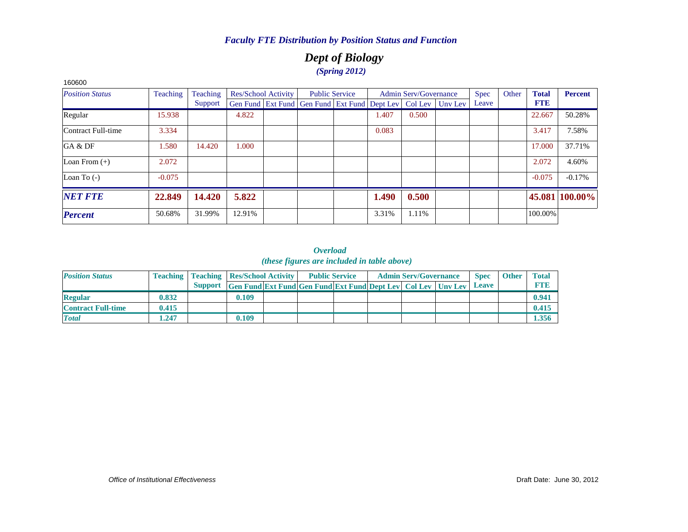## *Dept of Biology (Spring 2012)*

| 160600                 |          |          |        |                            |                                                                          |       |                              |       |       |              |                |
|------------------------|----------|----------|--------|----------------------------|--------------------------------------------------------------------------|-------|------------------------------|-------|-------|--------------|----------------|
| <b>Position Status</b> | Teaching | Teaching |        | <b>Res/School Activity</b> | <b>Public Service</b>                                                    |       | <b>Admin Serv/Governance</b> | Spec  | Other | <b>Total</b> | <b>Percent</b> |
|                        |          | Support  |        |                            | Gen Fund   Ext Fund   Gen Fund   Ext Fund   Dept Lev   Col Lev   Unv Lev |       |                              | Leave |       | <b>FTE</b>   |                |
| Regular                | 15.938   |          | 4.822  |                            |                                                                          | 1.407 | 0.500                        |       |       | 22.667       | 50.28%         |
| Contract Full-time     | 3.334    |          |        |                            |                                                                          | 0.083 |                              |       |       | 3.417        | 7.58%          |
| GA & DF                | 1.580    | 14.420   | 1.000  |                            |                                                                          |       |                              |       |       | 17.000       | 37.71%         |
| Loan From $(+)$        | 2.072    |          |        |                            |                                                                          |       |                              |       |       | 2.072        | 4.60%          |
| Loan To $(-)$          | $-0.075$ |          |        |                            |                                                                          |       |                              |       |       | $-0.075$     | $-0.17%$       |
| <b>NET FTE</b>         | 22.849   | 14.420   | 5.822  |                            |                                                                          | 1.490 | 0.500                        |       |       |              | 45.081 100.00% |
| <b>Percent</b>         | 50.68%   | 31.99%   | 12.91% |                            |                                                                          | 3.31% | 1.11%                        |       |       | 100.00%      |                |

| <b>Position Status</b>    |       | <b>Teaching   Teaching   Res/School Activity  </b> |                                                                                 | <b>Public Service</b> |  | <b>Admin Serv/Governance</b> | <b>Spec</b>  | <b>Other</b> | <b>Total</b> |
|---------------------------|-------|----------------------------------------------------|---------------------------------------------------------------------------------|-----------------------|--|------------------------------|--------------|--------------|--------------|
|                           |       |                                                    | <b>Support</b> Gen Fund Ext Fund Gen Fund Ext Fund Dept Lev   Col Lev   Unv Lev |                       |  |                              | <b>Leave</b> |              |              |
| <b>Regular</b>            | 0.832 |                                                    | 0.109                                                                           |                       |  |                              |              |              | 0.941        |
| <b>Contract Full-time</b> | 0.415 |                                                    |                                                                                 |                       |  |                              |              |              | 0.415        |
| <b>Total</b>              | 1.247 |                                                    | 0.109                                                                           |                       |  |                              |              |              | 1.356        |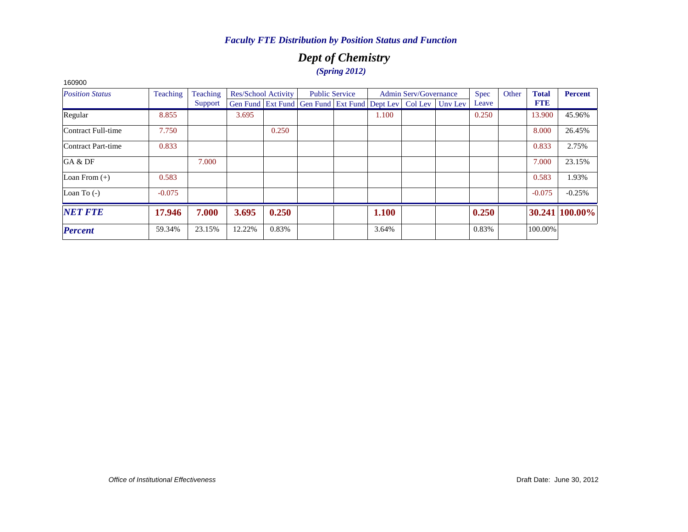## *Dept of Chemistry (Spring 2012)*

| 160900                 |          |          |                                                              |                       |       |                       |       |       |              |                |
|------------------------|----------|----------|--------------------------------------------------------------|-----------------------|-------|-----------------------|-------|-------|--------------|----------------|
| <b>Position Status</b> | Teaching | Teaching | <b>Res/School Activity</b>                                   | <b>Public Service</b> |       | Admin Serv/Governance | Spec  | Other | <b>Total</b> | <b>Percent</b> |
|                        |          | Support  | Gen Fund Ext Fund Gen Fund Ext Fund Dept Lev Col Lev Unv Lev |                       |       |                       | Leave |       | <b>FTE</b>   |                |
| Regular                | 8.855    |          | 3.695                                                        |                       | 1.100 |                       | 0.250 |       | 13.900       | 45.96%         |
| Contract Full-time     | 7.750    |          | 0.250                                                        |                       |       |                       |       |       | 8.000        | 26.45%         |
| Contract Part-time     | 0.833    |          |                                                              |                       |       |                       |       |       | 0.833        | 2.75%          |
| GA & DF                |          | 7.000    |                                                              |                       |       |                       |       |       | 7.000        | 23.15%         |
| Loan From $(+)$        | 0.583    |          |                                                              |                       |       |                       |       |       | 0.583        | 1.93%          |
| Loan To $(-)$          | $-0.075$ |          |                                                              |                       |       |                       |       |       | $-0.075$     | $-0.25%$       |
| <b>NET FTE</b>         | 17.946   | 7.000    | 0.250<br>3.695                                               |                       | 1.100 |                       | 0.250 |       |              | 30.241 100.00% |
| <b>Percent</b>         | 59.34%   | 23.15%   | 0.83%<br>12.22%                                              |                       | 3.64% |                       | 0.83% |       | 100.00%      |                |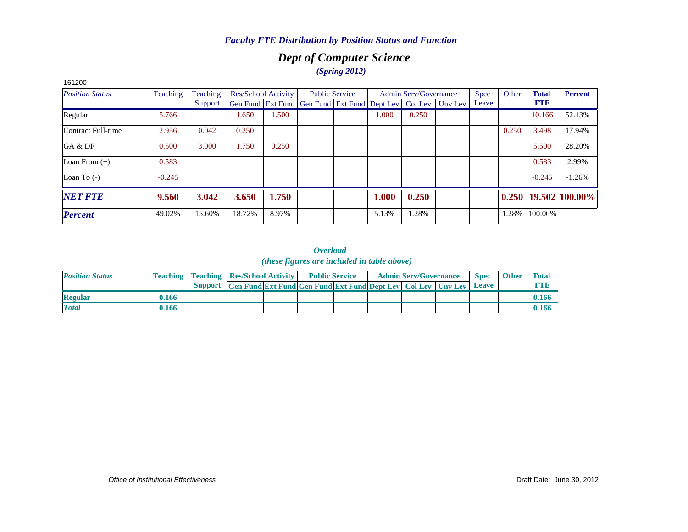## *Dept of Computer Science (Spring 2012)*

| 161200                 |          |          |                            |       |                                                                |       |                              |         |             |       |              |                            |
|------------------------|----------|----------|----------------------------|-------|----------------------------------------------------------------|-------|------------------------------|---------|-------------|-------|--------------|----------------------------|
| <b>Position Status</b> | Teaching | Teaching | <b>Res/School Activity</b> |       | <b>Public Service</b>                                          |       | <b>Admin Serv/Governance</b> |         | <b>Spec</b> | Other | <b>Total</b> | <b>Percent</b>             |
|                        |          | Support  |                            |       | Gen Fund   Ext Fund   Gen Fund   Ext Fund   Dept Lev   Col Lev |       |                              | Unv Lev | Leave       |       | <b>FTE</b>   |                            |
| Regular                | 5.766    |          | 1.650                      | 1.500 |                                                                | 1.000 | 0.250                        |         |             |       | 10.166       | 52.13%                     |
| Contract Full-time     | 2.956    | 0.042    | 0.250                      |       |                                                                |       |                              |         |             | 0.250 | 3.498        | 17.94%                     |
| GA & DF                | 0.500    | 3.000    | 1.750                      | 0.250 |                                                                |       |                              |         |             |       | 5.500        | 28.20%                     |
| Loan From $(+)$        | 0.583    |          |                            |       |                                                                |       |                              |         |             |       | 0.583        | 2.99%                      |
| Loan To $(-)$          | $-0.245$ |          |                            |       |                                                                |       |                              |         |             |       | $-0.245$     | $-1.26%$                   |
| <b>NET FTE</b>         | 9.560    | 3.042    | 3.650                      | 1.750 |                                                                | 1.000 | 0.250                        |         |             |       |              | $0.250$   19.502   100.00% |
| <b>Percent</b>         | 49.02%   | 15.60%   | 18.72%                     | 8.97% |                                                                | 5.13% | 1.28%                        |         |             | 1.28% | 100.00%      |                            |

| <b>Position Status</b> |       | <b>Teaching   Teaching   Res/School Activity  </b> |                                                                             | <b>Public Service</b> |  | <b>Admin Serv/Governance</b> | <b>Spec</b> | <b>Other</b> | <b>Total</b> |
|------------------------|-------|----------------------------------------------------|-----------------------------------------------------------------------------|-----------------------|--|------------------------------|-------------|--------------|--------------|
|                        |       |                                                    | <b>Support</b> Gen Fund Ext Fund Gen Fund Ext Fund Dept Lev Col Lev Unv Lev |                       |  |                              | Leave       |              | <b>FTH</b>   |
| <b>Regular</b>         | 0.166 |                                                    |                                                                             |                       |  |                              |             |              | 0.166        |
| <b>Total</b>           | 0.166 |                                                    |                                                                             |                       |  |                              |             |              | 0.166        |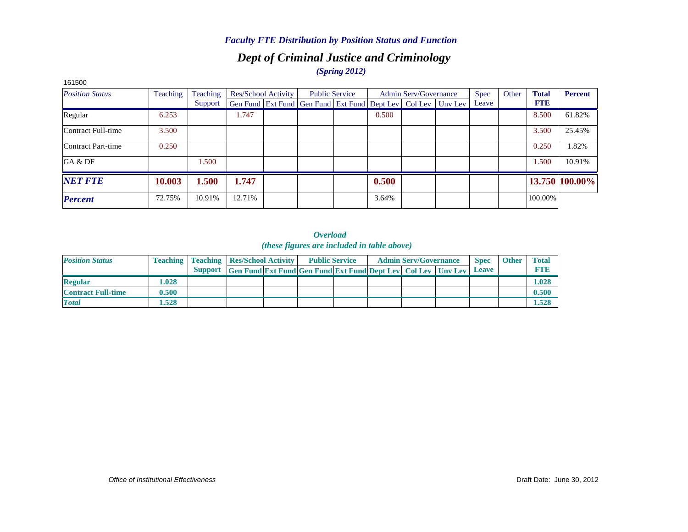## *Dept of Criminal Justice and Criminology (Spring 2012) Faculty FTE Distribution by Position Status and Function*

| 161500                 |          |          |        |                     |                                                                          |       |                              |             |       |              |                |
|------------------------|----------|----------|--------|---------------------|--------------------------------------------------------------------------|-------|------------------------------|-------------|-------|--------------|----------------|
| <b>Position Status</b> | Teaching | Teaching |        | Res/School Activity | <b>Public Service</b>                                                    |       | <b>Admin Serv/Governance</b> | <b>Spec</b> | Other | <b>Total</b> | <b>Percent</b> |
|                        |          | Support  |        |                     | Gen Fund   Ext Fund   Gen Fund   Ext Fund   Dept Lev   Col Lev   Unv Lev |       |                              | Leave       |       | <b>FTE</b>   |                |
| Regular                | 6.253    |          | 1.747  |                     |                                                                          | 0.500 |                              |             |       | 8.500        | 61.82%         |
| Contract Full-time     | 3.500    |          |        |                     |                                                                          |       |                              |             |       | 3.500        | 25.45%         |
| Contract Part-time     | 0.250    |          |        |                     |                                                                          |       |                              |             |       | 0.250        | 1.82%          |
| GA & DF                |          | 1.500    |        |                     |                                                                          |       |                              |             |       | 1.500        | 10.91%         |
| <b>NET FTE</b>         | 10.003   | 1.500    | 1.747  |                     |                                                                          | 0.500 |                              |             |       |              | 13.750 100.00% |
| <b>Percent</b>         | 72.75%   | 10.91%   | 12.71% |                     |                                                                          | 3.64% |                              |             |       | 100.00%      |                |

| <b>Position Status</b>    |       | <b>Teaching   Teaching   Res/School Activity  </b> |                                                                     | <b>Public Service</b> |  | <b>Admin Serv/Governance</b> | <b>Spec</b> | <b>Other</b> | <b>Total</b> |
|---------------------------|-------|----------------------------------------------------|---------------------------------------------------------------------|-----------------------|--|------------------------------|-------------|--------------|--------------|
|                           |       | <b>Support</b>                                     | <b>Gen Fund Ext Fund Gen Fund Ext Fund Dept Lev Col Lev Unv Lev</b> |                       |  |                              | Leave       |              |              |
| <b>Regular</b>            | .028  |                                                    |                                                                     |                       |  |                              |             |              | 1.028        |
| <b>Contract Full-time</b> | 0.500 |                                                    |                                                                     |                       |  |                              |             |              | 0.500        |
| <b>Total</b>              | .528  |                                                    |                                                                     |                       |  |                              |             |              | 1.528        |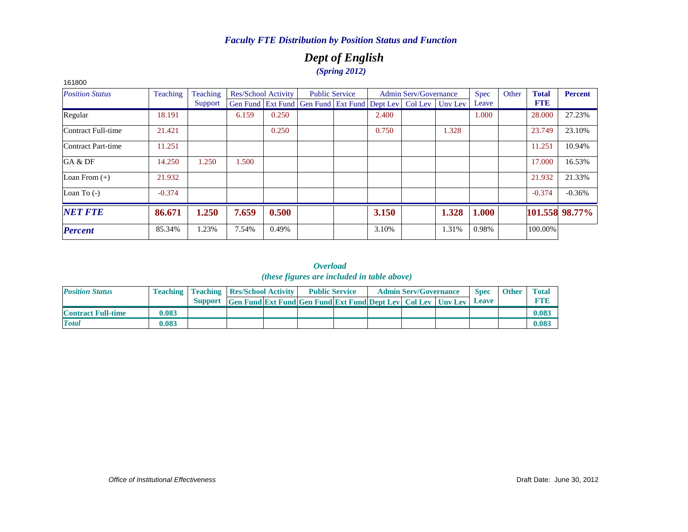## *Dept of English (Spring 2012)*

| 161800                 |          |          |       |                     |                                              |                       |       |                              |         |       |       |              |                |
|------------------------|----------|----------|-------|---------------------|----------------------------------------------|-----------------------|-------|------------------------------|---------|-------|-------|--------------|----------------|
| <b>Position Status</b> | Teaching | Teaching |       | Res/School Activity |                                              | <b>Public Service</b> |       | <b>Admin Serv/Governance</b> |         | Spec  | Other | <b>Total</b> | <b>Percent</b> |
|                        |          | Support  |       |                     | Gen Fund Ext Fund Gen Fund Ext Fund Dept Lev |                       |       | Col Lev                      | Unv Lev | Leave |       | <b>FTE</b>   |                |
| Regular                | 18.191   |          | 6.159 | 0.250               |                                              |                       | 2.400 |                              |         | 1.000 |       | 28,000       | 27.23%         |
| Contract Full-time     | 21.421   |          |       | 0.250               |                                              |                       | 0.750 |                              | 1.328   |       |       | 23.749       | 23.10%         |
| Contract Part-time     | 11.251   |          |       |                     |                                              |                       |       |                              |         |       |       | 11.251       | 10.94%         |
| GA & DF                | 14.250   | 1.250    | 1.500 |                     |                                              |                       |       |                              |         |       |       | 17.000       | 16.53%         |
| Loan From $(+)$        | 21.932   |          |       |                     |                                              |                       |       |                              |         |       |       | 21.932       | 21.33%         |
| Loan To $(-)$          | $-0.374$ |          |       |                     |                                              |                       |       |                              |         |       |       | $-0.374$     | $-0.36%$       |
| <b>NET FTE</b>         | 86.671   | 1.250    | 7.659 | 0.500               |                                              |                       | 3.150 |                              | 1.328   | 1.000 |       |              | 101.558 98.77% |
| <b>Percent</b>         | 85.34%   | 1.23%    | 7.54% | 0.49%               |                                              |                       | 3.10% |                              | 1.31%   | 0.98% |       | 100.00%      |                |

*Overload (these figures are included in table above)*

| <b>Position Status</b>    |       | <b>Teaching   Teaching   Res/School Activity  </b> |                                                                     |  | <b>Public Service</b> | <b>Admin Serv/Governance</b> | <b>Spec</b> | <b>Other</b> | <b>Total</b> |
|---------------------------|-------|----------------------------------------------------|---------------------------------------------------------------------|--|-----------------------|------------------------------|-------------|--------------|--------------|
|                           |       | <b>Support</b>                                     | <b>Gen Fund Ext Fund Gen Fund Ext Fund Dept Lev Col Lev Unv Lev</b> |  |                       |                              | Leave       |              | <b>RTIB</b>  |
| <b>Contract Full-time</b> | 0.083 |                                                    |                                                                     |  |                       |                              |             |              | 0.083        |
| <b>Total</b>              | 0.083 |                                                    |                                                                     |  |                       |                              |             |              | 0.083        |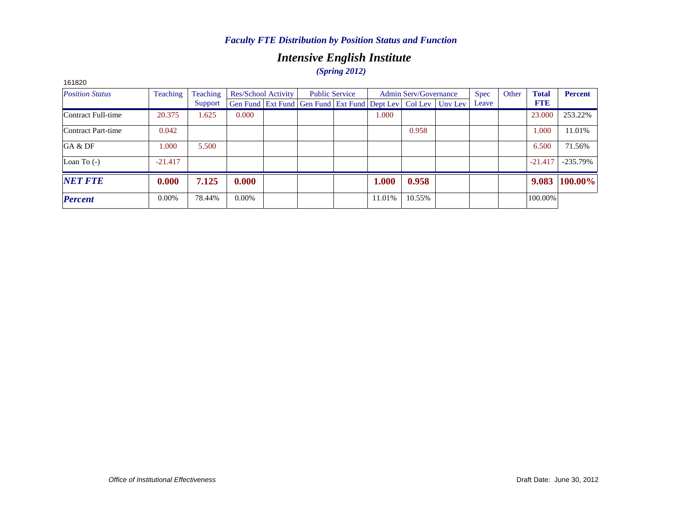## *Intensive English Institute (Spring 2012)*

| 161820                 |           |          |                                                                |  |                       |        |                       |         |             |       |              |                |
|------------------------|-----------|----------|----------------------------------------------------------------|--|-----------------------|--------|-----------------------|---------|-------------|-------|--------------|----------------|
| <b>Position Status</b> | Teaching  | Teaching | <b>Res/School Activity</b>                                     |  | <b>Public Service</b> |        | Admin Serv/Governance |         | <b>Spec</b> | Other | <b>Total</b> | <b>Percent</b> |
|                        |           | Support  | Gen Fund   Ext Fund   Gen Fund   Ext Fund   Dept Lev   Col Lev |  |                       |        |                       | Uny Lev | Leave       |       | <b>FTE</b>   |                |
| Contract Full-time     | 20.375    | 1.625    | 0.000                                                          |  |                       | 1.000  |                       |         |             |       | 23,000       | 253.22%        |
| Contract Part-time     | 0.042     |          |                                                                |  |                       |        | 0.958                 |         |             |       | 1.000        | 11.01%         |
| GA & DF                | 1.000     | 5.500    |                                                                |  |                       |        |                       |         |             |       | 6.500        | 71.56%         |
| Loan To $(-)$          | $-21.417$ |          |                                                                |  |                       |        |                       |         |             |       | $-21.417$    | $-235.79\%$    |
| <b>NET FTE</b>         | 0.000     | 7.125    | 0.000                                                          |  |                       | 1.000  | 0.958                 |         |             |       | 9.083        | 100.00%        |
| <b>Percent</b>         | $0.00\%$  | 78.44%   | 0.00%                                                          |  |                       | 11.01% | 10.55%                |         |             |       | 100.00%      |                |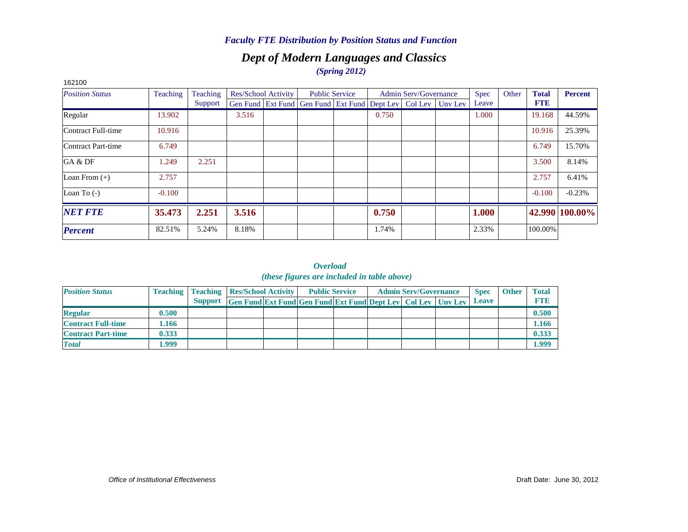## *Dept of Modern Languages and Classics (Spring 2012)*

| 162100                 |          |          |       |                     |                                              |       |                              |                 |             |       |              |                |
|------------------------|----------|----------|-------|---------------------|----------------------------------------------|-------|------------------------------|-----------------|-------------|-------|--------------|----------------|
| <b>Position Status</b> | Teaching | Teaching |       | Res/School Activity | <b>Public Service</b>                        |       | <b>Admin Serv/Governance</b> |                 | <b>Spec</b> | Other | <b>Total</b> | Percent        |
|                        |          | Support  |       |                     | Gen Fund Ext Fund Gen Fund Ext Fund Dept Lev |       |                              | Col Lev Unv Lev | Leave       |       | <b>FTE</b>   |                |
| Regular                | 13.902   |          | 3.516 |                     |                                              | 0.750 |                              |                 | 1.000       |       | 19.168       | 44.59%         |
| Contract Full-time     | 10.916   |          |       |                     |                                              |       |                              |                 |             |       | 10.916       | 25.39%         |
| Contract Part-time     | 6.749    |          |       |                     |                                              |       |                              |                 |             |       | 6.749        | 15.70%         |
| GA & DF                | 1.249    | 2.251    |       |                     |                                              |       |                              |                 |             |       | 3.500        | 8.14%          |
| Loan From $(+)$        | 2.757    |          |       |                     |                                              |       |                              |                 |             |       | 2.757        | 6.41%          |
| Loan To $(-)$          | $-0.100$ |          |       |                     |                                              |       |                              |                 |             |       | $-0.100$     | $-0.23%$       |
| <b>NET FTE</b>         | 35.473   | 2.251    | 3.516 |                     |                                              | 0.750 |                              |                 | 1.000       |       |              | 42.990 100.00% |
| <b>Percent</b>         | 82.51%   | 5.24%    | 8.18% |                     |                                              | 1.74% |                              |                 | 2.33%       |       | 100.00%      |                |

*Overload (these figures are included in table above)*

| <b>Position Status</b>    |       | <b>Teaching   Teaching   Res/School Activity  </b> |                                                                     | <b>Public Service</b> |  | <b>Admin Serv/Governance</b> | <b>Spec</b>  | <b>Other</b> | <b>Total</b> |
|---------------------------|-------|----------------------------------------------------|---------------------------------------------------------------------|-----------------------|--|------------------------------|--------------|--------------|--------------|
|                           |       | <b>Support</b>                                     | <b>Gen Fund Ext Fund Gen Fund Ext Fund Dept Lev Col Lev Unv Lev</b> |                       |  |                              | <b>Leave</b> |              |              |
| <b>Regular</b>            | 0.500 |                                                    |                                                                     |                       |  |                              |              |              | 0.500        |
| <b>Contract Full-time</b> | 1.166 |                                                    |                                                                     |                       |  |                              |              |              | 1.166        |
| <b>Contract Part-time</b> | 0.333 |                                                    |                                                                     |                       |  |                              |              |              | 0.333        |
| <b>Total</b>              | .999  |                                                    |                                                                     |                       |  |                              |              |              | 1.999        |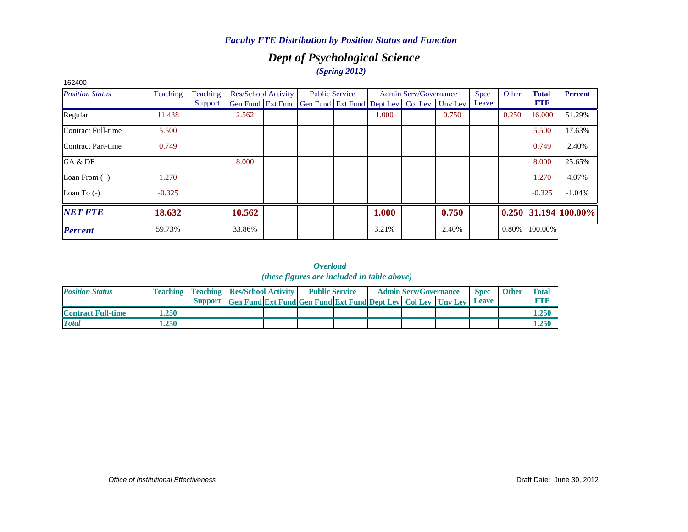## *Dept of Psychological Science (Spring 2012)*

| 162400                 |          |          |                            |                                                                  |       |                              |       |       |       |              |                        |
|------------------------|----------|----------|----------------------------|------------------------------------------------------------------|-------|------------------------------|-------|-------|-------|--------------|------------------------|
| <b>Position Status</b> | Teaching | Teaching | <b>Res/School Activity</b> | <b>Public Service</b>                                            |       | <b>Admin Serv/Governance</b> |       | Spec  | Other | <b>Total</b> | <b>Percent</b>         |
|                        |          | Support  |                            | Gen Fund Ext Fund Gen Fund Ext Fund Dept Lev   Col Lev   Unv Lev |       |                              |       | Leave |       | <b>FTE</b>   |                        |
| Regular                | 11.438   |          | 2.562                      |                                                                  | 1.000 |                              | 0.750 |       | 0.250 | 16.000       | 51.29%                 |
| Contract Full-time     | 5.500    |          |                            |                                                                  |       |                              |       |       |       | 5.500        | 17.63%                 |
| Contract Part-time     | 0.749    |          |                            |                                                                  |       |                              |       |       |       | 0.749        | 2.40%                  |
| GA & DF                |          |          | 8.000                      |                                                                  |       |                              |       |       |       | 8.000        | 25.65%                 |
| Loan From $(+)$        | 1.270    |          |                            |                                                                  |       |                              |       |       |       | 1.270        | 4.07%                  |
| Loan To $(-)$          | $-0.325$ |          |                            |                                                                  |       |                              |       |       |       | $-0.325$     | $-1.04\%$              |
| <b>NET FTE</b>         | 18.632   |          | 10.562                     |                                                                  | 1.000 |                              | 0.750 |       |       |              | $0.250$ 31.194 100.00% |
| <b>Percent</b>         | 59.73%   |          | 33.86%                     |                                                                  | 3.21% |                              | 2.40% |       | 0.80% | 100.00%      |                        |

*Overload (these figures are included in table above)*

| <b>Position Status</b>    |      | <b>Teaching   Teaching   Res/School Activity  </b> |                                                                          |  | <b>Public Service</b> | <b>Admin Serv/Governance</b> | <b>Spec</b> | <b>Other</b> | <b>Total</b> |
|---------------------------|------|----------------------------------------------------|--------------------------------------------------------------------------|--|-----------------------|------------------------------|-------------|--------------|--------------|
|                           |      |                                                    | Support Gen Fund Ext Fund Gen Fund Ext Fund Dept Lev   Col Lev   Unv Lev |  |                       |                              | Leave       |              | <b>FTR</b>   |
| <b>Contract Full-time</b> | .250 |                                                    |                                                                          |  |                       |                              |             |              | 1.250        |
| <b>Total</b>              | .250 |                                                    |                                                                          |  |                       |                              |             |              | 1.250        |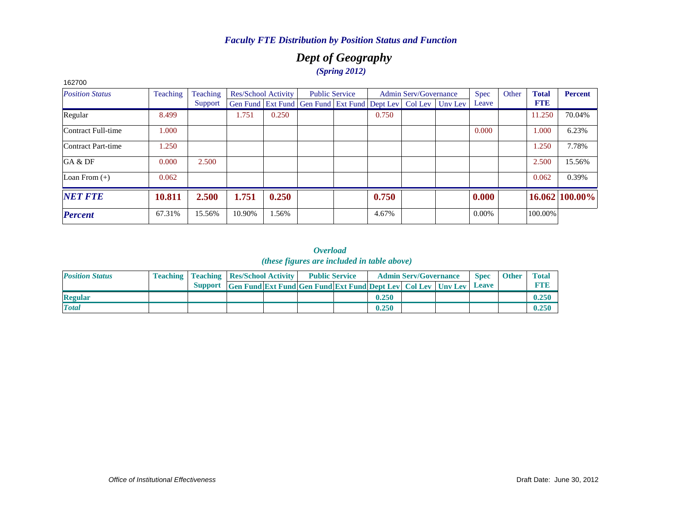## *Dept of Geography (Spring 2012)*

| 162700                 |          |          |        |                     |                                                                |       |                              |         |          |       |              |                |
|------------------------|----------|----------|--------|---------------------|----------------------------------------------------------------|-------|------------------------------|---------|----------|-------|--------------|----------------|
| <b>Position Status</b> | Teaching | Teaching |        | Res/School Activity | <b>Public Service</b>                                          |       | <b>Admin Serv/Governance</b> |         | Spec     | Other | <b>Total</b> | <b>Percent</b> |
|                        |          | Support  |        |                     | Gen Fund   Ext Fund   Gen Fund   Ext Fund   Dept Lev   Col Lev |       |                              | Uny Lev | Leave    |       | <b>FTE</b>   |                |
| Regular                | 8.499    |          | 1.751  | 0.250               |                                                                | 0.750 |                              |         |          |       | 11.250       | 70.04%         |
| Contract Full-time     | 1.000    |          |        |                     |                                                                |       |                              |         | 0.000    |       | 1.000        | 6.23%          |
| Contract Part-time     | 1.250    |          |        |                     |                                                                |       |                              |         |          |       | 1.250        | 7.78%          |
| GA & DF                | 0.000    | 2.500    |        |                     |                                                                |       |                              |         |          |       | 2.500        | 15.56%         |
| Loan From $(+)$        | 0.062    |          |        |                     |                                                                |       |                              |         |          |       | 0.062        | 0.39%          |
| <b>NET FTE</b>         | 10.811   | 2.500    | 1.751  | 0.250               |                                                                | 0.750 |                              |         | 0.000    |       |              | 16.062 100.00% |
| <b>Percent</b>         | 67.31%   | 15.56%   | 10.90% | 1.56%               |                                                                | 4.67% |                              |         | $0.00\%$ |       | 100.00%      |                |

| <b>Position Status</b> | <b>Teaching   Teaching   Res/School Activity  </b> |                                                                          | <b>Public Service</b> |       | <b>Admin Serv/Governance</b> | <b>Spec</b> | <b>Other</b> | <b>Total</b> |
|------------------------|----------------------------------------------------|--------------------------------------------------------------------------|-----------------------|-------|------------------------------|-------------|--------------|--------------|
|                        |                                                    | Support Gen Fund Ext Fund Gen Fund Ext Fund Dept Lev   Col Lev   Unv Lev |                       |       |                              | Leave       |              |              |
| <b>Regular</b>         |                                                    |                                                                          |                       | 0.250 |                              |             |              | 0.250        |
| <b>Total</b>           |                                                    |                                                                          |                       | 0.250 |                              |             |              | 0.250        |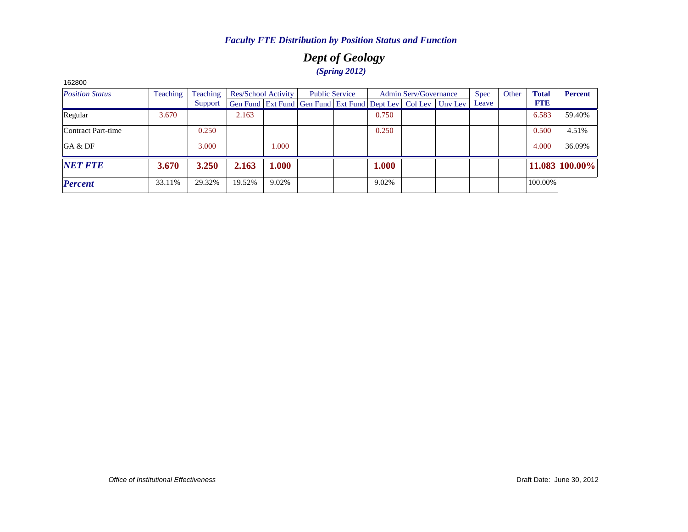## *Dept of Geology (Spring 2012)*

| 162800                 |          |          |        |                     |                                                                          |                       |       |                              |             |       |              |                |
|------------------------|----------|----------|--------|---------------------|--------------------------------------------------------------------------|-----------------------|-------|------------------------------|-------------|-------|--------------|----------------|
| <b>Position Status</b> | Teaching | Teaching |        | Res/School Activity |                                                                          | <b>Public Service</b> |       | <b>Admin Serv/Governance</b> | <b>Spec</b> | Other | <b>Total</b> | <b>Percent</b> |
|                        |          | Support  |        |                     | Gen Fund   Ext Fund   Gen Fund   Ext Fund   Dept Lev   Col Lev   Unv Lev |                       |       |                              | Leave       |       | <b>FTE</b>   |                |
| Regular                | 3.670    |          | 2.163  |                     |                                                                          |                       | 0.750 |                              |             |       | 6.583        | 59.40%         |
| Contract Part-time     |          | 0.250    |        |                     |                                                                          |                       | 0.250 |                              |             |       | 0.500        | 4.51%          |
| GA & DF                |          | 3.000    |        | 1.000               |                                                                          |                       |       |                              |             |       | 4.000        | 36.09%         |
| <b>NET FTE</b>         | 3.670    | 3.250    | 2.163  | 1.000               |                                                                          |                       | 1.000 |                              |             |       |              | 11.083 100.00% |
| <b>Percent</b>         | 33.11%   | 29.32%   | 19.52% | 9.02%               |                                                                          |                       | 9.02% |                              |             |       | 100.00%      |                |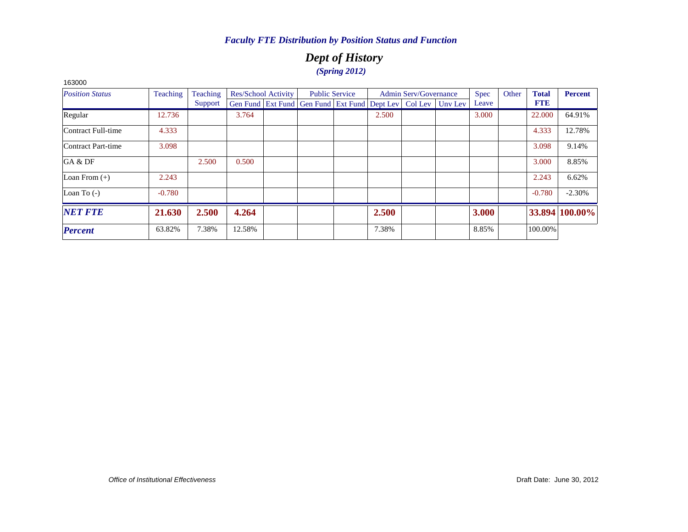## *Dept of History (Spring 2012)*

| 163000                 |          |          |        |                     |                                                                |                       |       |                              |         |       |       |              |                |
|------------------------|----------|----------|--------|---------------------|----------------------------------------------------------------|-----------------------|-------|------------------------------|---------|-------|-------|--------------|----------------|
| <b>Position Status</b> | Teaching | Teaching |        | Res/School Activity |                                                                | <b>Public Service</b> |       | <b>Admin Serv/Governance</b> |         | Spec  | Other | <b>Total</b> | <b>Percent</b> |
|                        |          | Support  |        |                     | Gen Fund   Ext Fund   Gen Fund   Ext Fund   Dept Lev   Col Lev |                       |       |                              | Unv Lev | Leave |       | <b>FTE</b>   |                |
| Regular                | 12.736   |          | 3.764  |                     |                                                                |                       | 2.500 |                              |         | 3.000 |       | 22,000       | 64.91%         |
| Contract Full-time     | 4.333    |          |        |                     |                                                                |                       |       |                              |         |       |       | 4.333        | 12.78%         |
| Contract Part-time     | 3.098    |          |        |                     |                                                                |                       |       |                              |         |       |       | 3.098        | 9.14%          |
| GA & DF                |          | 2.500    | 0.500  |                     |                                                                |                       |       |                              |         |       |       | 3.000        | 8.85%          |
| Loan From $(+)$        | 2.243    |          |        |                     |                                                                |                       |       |                              |         |       |       | 2.243        | 6.62%          |
| Loan To $(-)$          | $-0.780$ |          |        |                     |                                                                |                       |       |                              |         |       |       | $-0.780$     | $-2.30%$       |
| <b>NET FTE</b>         | 21.630   | 2.500    | 4.264  |                     |                                                                |                       | 2.500 |                              |         | 3.000 |       |              | 33.894 100.00% |
| <b>Percent</b>         | 63.82%   | 7.38%    | 12.58% |                     |                                                                |                       | 7.38% |                              |         | 8.85% |       | 100.00%      |                |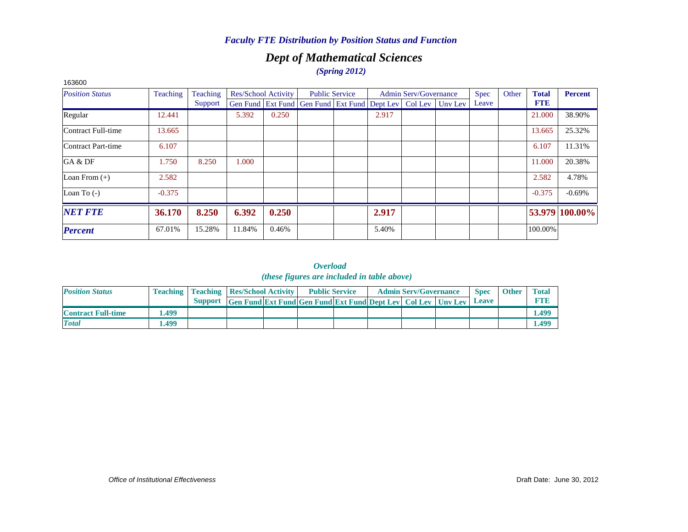## *Dept of Mathematical Sciences (Spring 2012)*

| 163600                 |          |          |        |                            |                                                                          |       |                              |       |       |              |                |
|------------------------|----------|----------|--------|----------------------------|--------------------------------------------------------------------------|-------|------------------------------|-------|-------|--------------|----------------|
| <b>Position Status</b> | Teaching | Teaching |        | <b>Res/School Activity</b> | <b>Public Service</b>                                                    |       | <b>Admin Serv/Governance</b> | Spec  | Other | <b>Total</b> | Percent        |
|                        |          | Support  |        |                            | Gen Fund   Ext Fund   Gen Fund   Ext Fund   Dept Lev   Col Lev   Unv Lev |       |                              | Leave |       | <b>FTE</b>   |                |
| Regular                | 12.441   |          | 5.392  | 0.250                      |                                                                          | 2.917 |                              |       |       | 21,000       | 38.90%         |
| Contract Full-time     | 13.665   |          |        |                            |                                                                          |       |                              |       |       | 13.665       | 25.32%         |
| Contract Part-time     | 6.107    |          |        |                            |                                                                          |       |                              |       |       | 6.107        | 11.31%         |
| GA & DF                | 1.750    | 8.250    | 1.000  |                            |                                                                          |       |                              |       |       | 11.000       | 20.38%         |
| Loan From $(+)$        | 2.582    |          |        |                            |                                                                          |       |                              |       |       | 2.582        | 4.78%          |
| Loan To $(-)$          | $-0.375$ |          |        |                            |                                                                          |       |                              |       |       | $-0.375$     | $-0.69%$       |
| <b>NET FTE</b>         | 36.170   | 8.250    | 6.392  | 0.250                      |                                                                          | 2.917 |                              |       |       |              | 53.979 100.00% |
| <b>Percent</b>         | 67.01%   | 15.28%   | 11.84% | 0.46%                      |                                                                          | 5.40% |                              |       |       | 100.00%      |                |

*Overload (these figures are included in table above)*

| <b>Position Status</b>    |      | <b>Teaching   Teaching   Res/School Activity  </b> |                                                                         | <b>Public Service</b> |  | <b>Admin Serv/Governance</b> | <b>Spec</b>  | <b>Other</b> | <b>Total</b> |
|---------------------------|------|----------------------------------------------------|-------------------------------------------------------------------------|-----------------------|--|------------------------------|--------------|--------------|--------------|
|                           |      | <b>Support</b>                                     | <b>Gen Fund Ext Fund Gen Fund Ext Fund Dept Lev   Col Lev   Unv Lev</b> |                       |  |                              | <b>Leave</b> |              |              |
| <b>Contract Full-time</b> | .499 |                                                    |                                                                         |                       |  |                              |              |              | 1.499        |
| <b>Total</b>              | .499 |                                                    |                                                                         |                       |  |                              |              |              | 1.499        |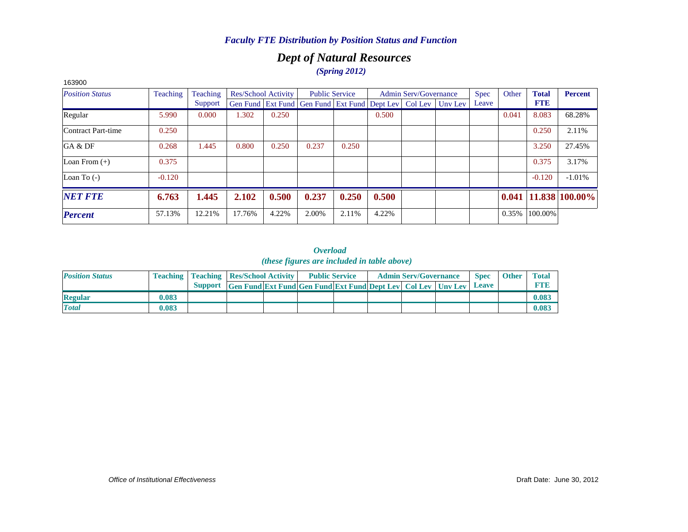## *Dept of Natural Resources (Spring 2012)*

| 163900                 |          |          |                            |       |                                                                  |       |       |                              |             |       |              |                            |
|------------------------|----------|----------|----------------------------|-------|------------------------------------------------------------------|-------|-------|------------------------------|-------------|-------|--------------|----------------------------|
| <b>Position Status</b> | Teaching | Teaching | <b>Res/School Activity</b> |       | <b>Public Service</b>                                            |       |       | <b>Admin Serv/Governance</b> | <b>Spec</b> | Other | <b>Total</b> | Percent                    |
|                        |          | Support  |                            |       | Gen Fund Ext Fund Gen Fund Ext Fund Dept Lev   Col Lev   Unv Lev |       |       |                              | Leave       |       | <b>FTE</b>   |                            |
| Regular                | 5.990    | 0.000    | 1.302                      | 0.250 |                                                                  |       | 0.500 |                              |             | 0.041 | 8.083        | 68.28%                     |
| Contract Part-time     | 0.250    |          |                            |       |                                                                  |       |       |                              |             |       | 0.250        | 2.11%                      |
| GA & DF                | 0.268    | 1.445    | 0.800                      | 0.250 | 0.237                                                            | 0.250 |       |                              |             |       | 3.250        | 27.45%                     |
| Loan From $(+)$        | 0.375    |          |                            |       |                                                                  |       |       |                              |             |       | 0.375        | 3.17%                      |
| Loan To $(-)$          | $-0.120$ |          |                            |       |                                                                  |       |       |                              |             |       | $-0.120$     | $-1.01%$                   |
| <b>NET FTE</b>         | 6.763    | 1.445    | 2.102                      | 0.500 | 0.237                                                            | 0.250 | 0.500 |                              |             |       |              | $0.041$   11.838   100.00% |
| <b>Percent</b>         | 57.13%   | 12.21%   | 17.76%                     | 4.22% | 2.00%                                                            | 2.11% | 4.22% |                              |             | 0.35% | 100.00%      |                            |

| <b>Position Status</b> |       | <b>Teaching   Teaching   Res/School Activity  </b> |                                                                          | <b>Public Service</b> |  | <b>Admin Serv/Governance</b> | <b>Spec</b> | <b>Other</b> | <b>Total</b> |
|------------------------|-------|----------------------------------------------------|--------------------------------------------------------------------------|-----------------------|--|------------------------------|-------------|--------------|--------------|
|                        |       |                                                    | Support Gen Fund Ext Fund Gen Fund Ext Fund Dept Lev   Col Lev   Unv Lev |                       |  |                              | Leave       |              | FTF          |
| <b>Regular</b>         | 0.083 |                                                    |                                                                          |                       |  |                              |             |              | 0.083        |
| <b>Total</b>           | 0.083 |                                                    |                                                                          |                       |  |                              |             |              | 0.083        |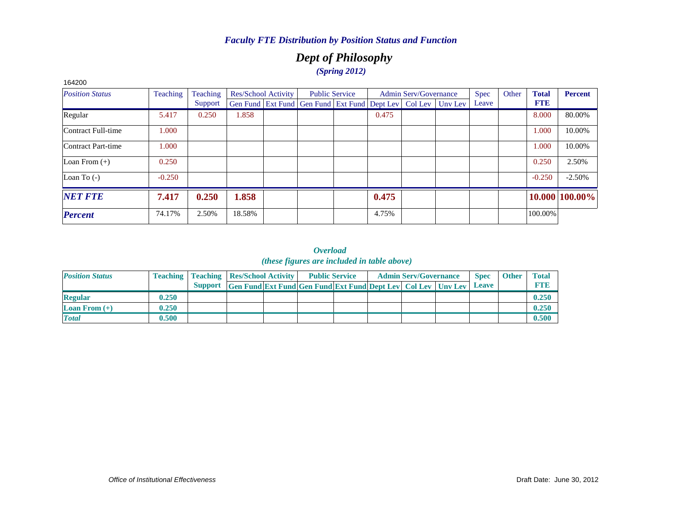## *Dept of Philosophy (Spring 2012)*

| 164200                 |          |          |                            |                                                                          |       |                              |             |       |              |                |
|------------------------|----------|----------|----------------------------|--------------------------------------------------------------------------|-------|------------------------------|-------------|-------|--------------|----------------|
| <b>Position Status</b> | Teaching | Teaching | <b>Res/School Activity</b> | <b>Public Service</b>                                                    |       | <b>Admin Serv/Governance</b> | <b>Spec</b> | Other | <b>Total</b> | <b>Percent</b> |
|                        |          | Support  |                            | Gen Fund   Ext Fund   Gen Fund   Ext Fund   Dept Lev   Col Lev   Unv Lev |       |                              | Leave       |       | <b>FTE</b>   |                |
| Regular                | 5.417    | 0.250    | 1.858                      |                                                                          | 0.475 |                              |             |       | 8.000        | 80.00%         |
| Contract Full-time     | 1.000    |          |                            |                                                                          |       |                              |             |       | 1.000        | 10.00%         |
| Contract Part-time     | 1.000    |          |                            |                                                                          |       |                              |             |       | 1.000        | 10.00%         |
| Loan From $(+)$        | 0.250    |          |                            |                                                                          |       |                              |             |       | 0.250        | 2.50%          |
| Loan To $(-)$          | $-0.250$ |          |                            |                                                                          |       |                              |             |       | $-0.250$     | $-2.50\%$      |
| <b>NET FTE</b>         | 7.417    | 0.250    | 1.858                      |                                                                          | 0.475 |                              |             |       |              | 10.000 100.00% |
| <b>Percent</b>         | 74.17%   | 2.50%    | 18.58%                     |                                                                          | 4.75% |                              |             |       | 100.00%      |                |

| <b>Position Status</b> |       | <b>Teaching   Teaching   Res/School Activity  </b> |                                                                      | <b>Public Service</b> |  | <b>Admin Serv/Governance</b> | <b>Spec</b> | <b>Other</b> | <b>Total</b> |
|------------------------|-------|----------------------------------------------------|----------------------------------------------------------------------|-----------------------|--|------------------------------|-------------|--------------|--------------|
|                        |       |                                                    | Support Gen Fund Ext Fund Gen Fund Ext Fund Dept Lev Col Lev Unv Lev |                       |  |                              | Leave       |              | FTE          |
| <b>Regular</b>         | 0.250 |                                                    |                                                                      |                       |  |                              |             |              | 0.250        |
| <b>Loan From</b> $(+)$ | 0.250 |                                                    |                                                                      |                       |  |                              |             |              | 0.250        |
| <b>Total</b>           | 0.500 |                                                    |                                                                      |                       |  |                              |             |              | 0.500        |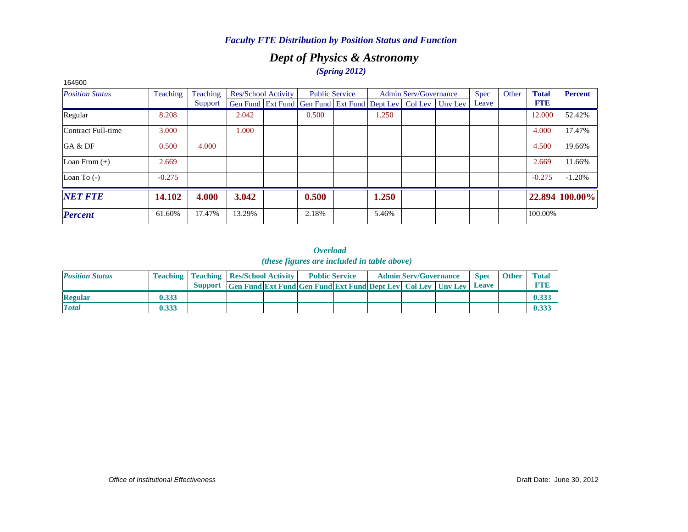## *Dept of Physics & Astronomy (Spring 2012)*

| 164500                 |          |          |                            |                                                                          |       |                              |             |       |              |                |
|------------------------|----------|----------|----------------------------|--------------------------------------------------------------------------|-------|------------------------------|-------------|-------|--------------|----------------|
| <b>Position Status</b> | Teaching | Teaching | <b>Res/School Activity</b> | <b>Public Service</b>                                                    |       | <b>Admin Serv/Governance</b> | <b>Spec</b> | Other | <b>Total</b> | <b>Percent</b> |
|                        |          | Support  |                            | Gen Fund   Ext Fund   Gen Fund   Ext Fund   Dept Lev   Col Lev   Unv Lev |       |                              | Leave       |       | <b>FTE</b>   |                |
| Regular                | 8.208    |          | 2.042                      | 0.500                                                                    | 1.250 |                              |             |       | 12.000       | 52.42%         |
| Contract Full-time     | 3.000    |          | 1.000                      |                                                                          |       |                              |             |       | 4.000        | 17.47%         |
| GA & DF                | 0.500    | 4.000    |                            |                                                                          |       |                              |             |       | 4.500        | 19.66%         |
| Loan From $(+)$        | 2.669    |          |                            |                                                                          |       |                              |             |       | 2.669        | 11.66%         |
| Loan To $(-)$          | $-0.275$ |          |                            |                                                                          |       |                              |             |       | $-0.275$     | $-1.20%$       |
| <b>NET FTE</b>         | 14.102   | 4.000    | 3.042                      | 0.500                                                                    | 1.250 |                              |             |       |              | 22.894 100.00% |
| <b>Percent</b>         | 61.60%   | 17.47%   | 13.29%                     | 2.18%                                                                    | 5.46% |                              |             |       | 100.00%      |                |

#### *Overload (these figures are included in table above)*

| <b>Position Status</b> |       | <b>Teaching   Teaching   Res/School Activity  </b> |                                                                      |  | <b>Public Service</b> |  | <b>Admin Serv/Governance</b> | <b>Spec</b> | <b>Other</b> | <b>Total</b> |
|------------------------|-------|----------------------------------------------------|----------------------------------------------------------------------|--|-----------------------|--|------------------------------|-------------|--------------|--------------|
|                        |       |                                                    | Support Gen Fund Ext Fund Gen Fund Ext Fund Dept Lev Col Lev Unv Lev |  |                       |  |                              | Leave       |              | <b>FTE</b>   |
| <b>Regular</b>         | 0.333 |                                                    |                                                                      |  |                       |  |                              |             |              |              |
| <b>Total</b>           | 0.333 |                                                    |                                                                      |  |                       |  |                              |             |              | 0.333        |

#### *Office of Institutional Effectiveness* Draft Date: June 30, 2012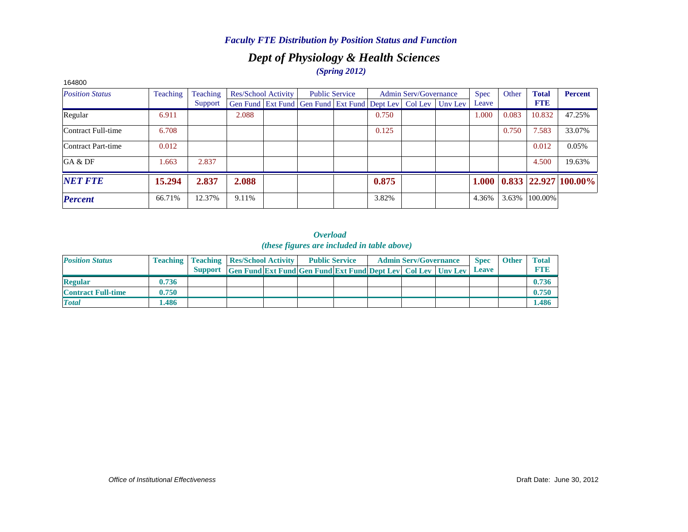## *Dept of Physiology & Health Sciences (Spring 2012)*

| 164800                 |          |          |       |                            |                                                                          |       |                              |             |       |              |                            |
|------------------------|----------|----------|-------|----------------------------|--------------------------------------------------------------------------|-------|------------------------------|-------------|-------|--------------|----------------------------|
| <b>Position Status</b> | Teaching | Teaching |       | <b>Res/School Activity</b> | <b>Public Service</b>                                                    |       | <b>Admin Serv/Governance</b> | <b>Spec</b> | Other | <b>Total</b> | <b>Percent</b>             |
|                        |          | Support  |       |                            | Gen Fund   Ext Fund   Gen Fund   Ext Fund   Dept Lev   Col Lev   Unv Lev |       |                              | Leave       |       | <b>FTE</b>   |                            |
| Regular                | 6.911    |          | 2.088 |                            |                                                                          | 0.750 |                              | 1.000       | 0.083 | 10.832       | 47.25%                     |
| Contract Full-time     | 6.708    |          |       |                            |                                                                          | 0.125 |                              |             | 0.750 | 7.583        | 33.07%                     |
| Contract Part-time     | 0.012    |          |       |                            |                                                                          |       |                              |             |       | 0.012        | 0.05%                      |
| GA & DF                | 1.663    | 2.837    |       |                            |                                                                          |       |                              |             |       | 4.500        | 19.63%                     |
| <b>NET FTE</b>         | 15.294   | 2.837    | 2.088 |                            |                                                                          | 0.875 |                              | 1.000       |       |              | $0.833$   22.927   100.00% |
| <b>Percent</b>         | 66.71%   | 12.37%   | 9.11% |                            |                                                                          | 3.82% |                              | 4.36%       | 3.63% | 100.00%      |                            |

| <b>Position Status</b>    |       | <b>Teaching   Teaching   Res/School Activity  </b> |                                                                           | <b>Public Service</b> |  | <b>Admin Serv/Governance</b> | <b>Spec</b> | <b>Other</b> | <b>Total</b> |
|---------------------------|-------|----------------------------------------------------|---------------------------------------------------------------------------|-----------------------|--|------------------------------|-------------|--------------|--------------|
|                           |       | <b>Support</b>                                     | <b>Gen Fund Ext Fund Gen Fund Ext Fund Dept Lev   Col Lev   Unv Lev  </b> |                       |  |                              | Leave       |              |              |
| <b>Regular</b>            | 0.736 |                                                    |                                                                           |                       |  |                              |             |              | 0.736        |
| <b>Contract Full-time</b> | 0.750 |                                                    |                                                                           |                       |  |                              |             |              | 0.750        |
| <b>Total</b>              | .486  |                                                    |                                                                           |                       |  |                              |             |              | 1.486        |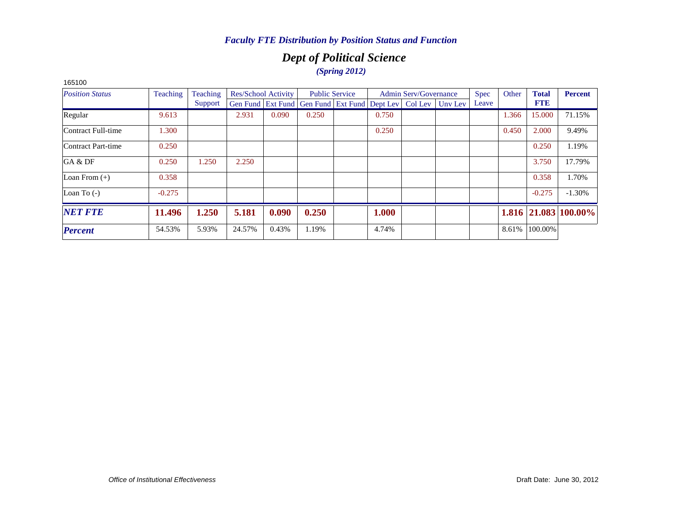## *Dept of Political Science (Spring 2012)*

| 165100                 |          |          |        |                            |                                              |                       |       |                              |                 |       |       |              |                      |
|------------------------|----------|----------|--------|----------------------------|----------------------------------------------|-----------------------|-------|------------------------------|-----------------|-------|-------|--------------|----------------------|
| <b>Position Status</b> | Teaching | Teaching |        | <b>Res/School Activity</b> |                                              | <b>Public Service</b> |       | <b>Admin Serv/Governance</b> |                 | Spec  | Other | <b>Total</b> | <b>Percent</b>       |
|                        |          | Support  |        |                            | Gen Fund Ext Fund Gen Fund Ext Fund Dept Lev |                       |       |                              | Col Lev Unv Lev | Leave |       | <b>FTE</b>   |                      |
| Regular                | 9.613    |          | 2.931  | 0.090                      | 0.250                                        |                       | 0.750 |                              |                 |       | 1.366 | 15.000       | 71.15%               |
| Contract Full-time     | 1.300    |          |        |                            |                                              |                       | 0.250 |                              |                 |       | 0.450 | 2.000        | 9.49%                |
| Contract Part-time     | 0.250    |          |        |                            |                                              |                       |       |                              |                 |       |       | 0.250        | 1.19%                |
| GA & DF                | 0.250    | 1.250    | 2.250  |                            |                                              |                       |       |                              |                 |       |       | 3.750        | 17.79%               |
| Loan From $(+)$        | 0.358    |          |        |                            |                                              |                       |       |                              |                 |       |       | 0.358        | 1.70%                |
| Loan To $(-)$          | $-0.275$ |          |        |                            |                                              |                       |       |                              |                 |       |       | $-0.275$     | $-1.30%$             |
| <b>NET FTE</b>         | 11.496   | 1.250    | 5.181  | 0.090                      | 0.250                                        |                       | 1.000 |                              |                 |       |       |              | 1.816 21.083 100.00% |
| <b>Percent</b>         | 54.53%   | 5.93%    | 24.57% | 0.43%                      | 1.19%                                        |                       | 4.74% |                              |                 |       | 8.61% | 100.00%      |                      |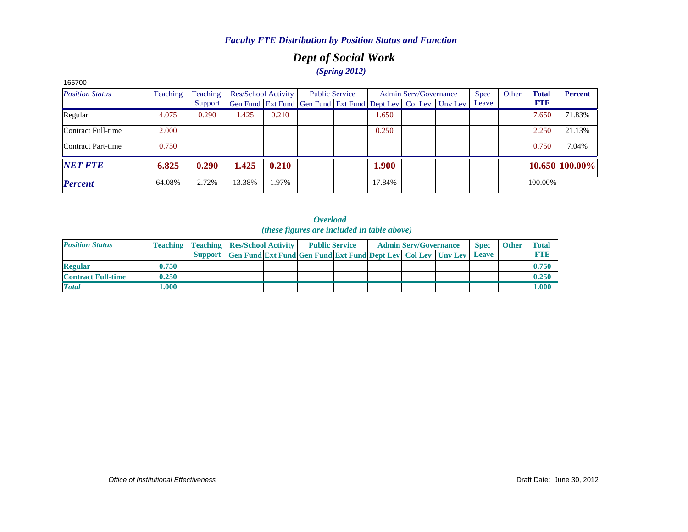## *Dept of Social Work (Spring 2012)*

| 165700                 |          |          |        |                     |                                                                |        |                              |         |             |       |              |                |
|------------------------|----------|----------|--------|---------------------|----------------------------------------------------------------|--------|------------------------------|---------|-------------|-------|--------------|----------------|
| <b>Position Status</b> | Teaching | Teaching |        | Res/School Activity | <b>Public Service</b>                                          |        | <b>Admin Serv/Governance</b> |         | <b>Spec</b> | Other | <b>Total</b> | <b>Percent</b> |
|                        |          | Support  |        |                     | Gen Fund   Ext Fund   Gen Fund   Ext Fund   Dept Lev   Col Lev |        |                              | Uny Lev | Leave       |       | <b>FTE</b>   |                |
| Regular                | 4.075    | 0.290    | 1.425  | 0.210               |                                                                | 1.650  |                              |         |             |       | 7.650        | 71.83%         |
| Contract Full-time     | 2.000    |          |        |                     |                                                                | 0.250  |                              |         |             |       | 2.250        | 21.13%         |
| Contract Part-time     | 0.750    |          |        |                     |                                                                |        |                              |         |             |       | 0.750        | 7.04%          |
| <b>NET FTE</b>         | 6.825    | 0.290    | 1.425  | 0.210               |                                                                | 1.900  |                              |         |             |       |              | 10.650 100.00% |
| <b>Percent</b>         | 64.08%   | 2.72%    | 13.38% | 1.97%               |                                                                | 17.84% |                              |         |             |       | 100.00%      |                |

| <b>Position Status</b>    |       | <b>Teaching   Teaching   Res/School Activity  </b> |                                                                                 | <b>Public Service</b> |  | <b>Admin Serv/Governance</b> | <b>Spec</b>  | <b>Other</b> | <b>Total</b> |
|---------------------------|-------|----------------------------------------------------|---------------------------------------------------------------------------------|-----------------------|--|------------------------------|--------------|--------------|--------------|
|                           |       |                                                    | <b>Support</b> Gen Fund Ext Fund Gen Fund Ext Fund Dept Lev   Col Lev   Unv Lev |                       |  |                              | <b>Leave</b> |              |              |
| <b>Regular</b>            | 0.750 |                                                    |                                                                                 |                       |  |                              |              |              | 0.750        |
| <b>Contract Full-time</b> | 0.250 |                                                    |                                                                                 |                       |  |                              |              |              | 0.250        |
| <b>Total</b>              | .000. |                                                    |                                                                                 |                       |  |                              |              |              | 1.000        |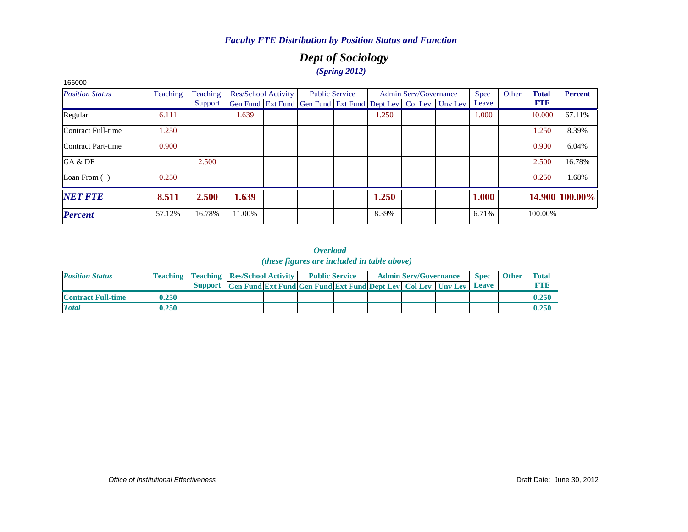## *Dept of Sociology (Spring 2012)*

| 166000                 |          |          |        |                            |                                                                |       |                              |         |       |       |              |                |
|------------------------|----------|----------|--------|----------------------------|----------------------------------------------------------------|-------|------------------------------|---------|-------|-------|--------------|----------------|
| <b>Position Status</b> | Teaching | Teaching |        | <b>Res/School Activity</b> | <b>Public Service</b>                                          |       | <b>Admin Serv/Governance</b> |         | Spec  | Other | <b>Total</b> | Percent        |
|                        |          | Support  |        |                            | Gen Fund   Ext Fund   Gen Fund   Ext Fund   Dept Lev   Col Lev |       |                              | Unv Lev | Leave |       | <b>FTE</b>   |                |
| Regular                | 6.111    |          | 1.639  |                            |                                                                | 1.250 |                              |         | 1.000 |       | 10.000       | 67.11%         |
| Contract Full-time     | 1.250    |          |        |                            |                                                                |       |                              |         |       |       | 1.250        | 8.39%          |
| Contract Part-time     | 0.900    |          |        |                            |                                                                |       |                              |         |       |       | 0.900        | 6.04%          |
| GA & DF                |          | 2.500    |        |                            |                                                                |       |                              |         |       |       | 2.500        | 16.78%         |
| Loan From $(+)$        | 0.250    |          |        |                            |                                                                |       |                              |         |       |       | 0.250        | 1.68%          |
| <b>NET FTE</b>         | 8.511    | 2.500    | 1.639  |                            |                                                                | 1.250 |                              |         | 1.000 |       |              | 14.900 100.00% |
| <b>Percent</b>         | 57.12%   | 16.78%   | 11.00% |                            |                                                                | 8.39% |                              |         | 6.71% |       | 100.00%      |                |

| <b>Position Status</b>    |       | <b>Teaching   Teaching   Res/School Activity  </b> |                                                                      | <b>Public Service</b> |  | <b>Admin Serv/Governance</b> | <b>Spec</b> | <b>Other</b> | <b>Total</b> |
|---------------------------|-------|----------------------------------------------------|----------------------------------------------------------------------|-----------------------|--|------------------------------|-------------|--------------|--------------|
|                           |       |                                                    | Support Gen Fund Ext Fund Gen Fund Ext Fund Dept Lev Col Lev Unv Lev |                       |  |                              | Leave       |              | <b>TANT</b>  |
| <b>Contract Full-time</b> | 0.250 |                                                    |                                                                      |                       |  |                              |             |              | 0.250        |
| <b>Total</b>              | 0.250 |                                                    |                                                                      |                       |  |                              |             |              | 0.250        |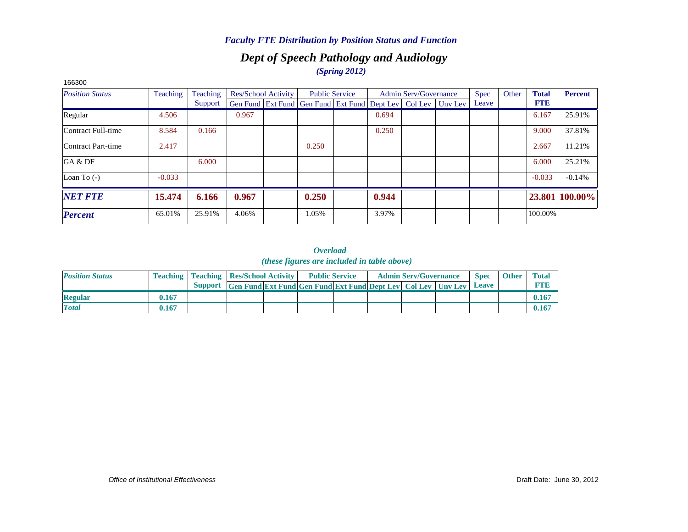## *Dept of Speech Pathology and Audiology (Spring 2012)*

| 166300                 |          |          |       |                            |                                                                          |       |                       |       |       |              |                |
|------------------------|----------|----------|-------|----------------------------|--------------------------------------------------------------------------|-------|-----------------------|-------|-------|--------------|----------------|
| <b>Position Status</b> | Teaching | Teaching |       | <b>Res/School Activity</b> | <b>Public Service</b>                                                    |       | Admin Serv/Governance | Spec  | Other | <b>Total</b> | <b>Percent</b> |
|                        |          | Support  |       |                            | Gen Fund   Ext Fund   Gen Fund   Ext Fund   Dept Lev   Col Lev   Unv Lev |       |                       | Leave |       | <b>FTE</b>   |                |
| Regular                | 4.506    |          | 0.967 |                            |                                                                          | 0.694 |                       |       |       | 6.167        | 25.91%         |
| Contract Full-time     | 8.584    | 0.166    |       |                            |                                                                          | 0.250 |                       |       |       | 9.000        | 37.81%         |
| Contract Part-time     | 2.417    |          |       |                            | 0.250                                                                    |       |                       |       |       | 2.667        | 11.21%         |
| GA & DF                |          | 6.000    |       |                            |                                                                          |       |                       |       |       | 6.000        | 25.21%         |
| Loan To $(-)$          | $-0.033$ |          |       |                            |                                                                          |       |                       |       |       | $-0.033$     | $-0.14%$       |
| <b>NET FTE</b>         | 15.474   | 6.166    | 0.967 |                            | 0.250                                                                    | 0.944 |                       |       |       |              | 23.801 100.00% |
| <b>Percent</b>         | 65.01%   | 25.91%   | 4.06% |                            | 1.05%                                                                    | 3.97% |                       |       |       | 100.00%      |                |

| <b>Position Status</b> |       | <b>Teaching   Teaching   Res/School Activity  </b> |                                                                      | <b>Public Service</b> |  | <b>Admin Serv/Governance</b> | <b>Spec</b> | <b>Other</b> | <b>Total</b> |
|------------------------|-------|----------------------------------------------------|----------------------------------------------------------------------|-----------------------|--|------------------------------|-------------|--------------|--------------|
|                        |       |                                                    | Support Gen Fund Ext Fund Gen Fund Ext Fund Dept Lev Col Lev Unv Lev |                       |  |                              | Leave       |              | <b>FTIE</b>  |
| <b>Regular</b>         | 0.167 |                                                    |                                                                      |                       |  |                              |             |              | 0.167        |
| <b>Total</b>           | 0.167 |                                                    |                                                                      |                       |  |                              |             |              | 0.167        |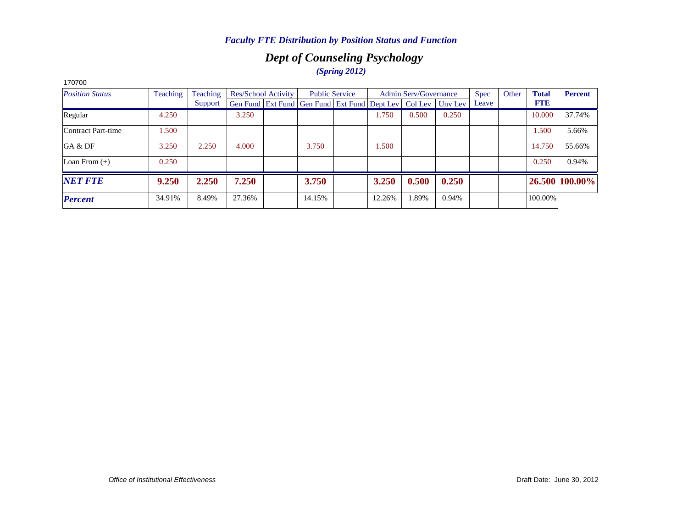## *Dept of Counseling Psychology (Spring 2012)*

| 170700                 |          |          |        |                            |                                                      |                       |        |                       |         |             |       |              |                |
|------------------------|----------|----------|--------|----------------------------|------------------------------------------------------|-----------------------|--------|-----------------------|---------|-------------|-------|--------------|----------------|
| <b>Position Status</b> | Teaching | Teaching |        | <b>Res/School Activity</b> |                                                      | <b>Public Service</b> |        | Admin Serv/Governance |         | <b>Spec</b> | Other | <b>Total</b> | <b>Percent</b> |
|                        |          | Support  |        |                            | Gen Fund   Ext Fund   Gen Fund   Ext Fund   Dept Lev |                       |        | Col Lev               | Unv Lev | Leave       |       | <b>FTE</b>   |                |
| Regular                | 4.250    |          | 3.250  |                            |                                                      |                       | 1.750  | 0.500                 | 0.250   |             |       | 10.000       | 37.74%         |
| Contract Part-time     | 1.500    |          |        |                            |                                                      |                       |        |                       |         |             |       | 1.500        | 5.66%          |
| GA & DF                | 3.250    | 2.250    | 4.000  |                            | 3.750                                                |                       | 1.500  |                       |         |             |       | 14.750       | 55.66%         |
| Loan From $(+)$        | 0.250    |          |        |                            |                                                      |                       |        |                       |         |             |       | 0.250        | 0.94%          |
| <b>NET FTE</b>         | 9.250    | 2.250    | 7.250  |                            | 3.750                                                |                       | 3.250  | 0.500                 | 0.250   |             |       |              | 26.500 100.00% |
| <b>Percent</b>         | 34.91%   | 8.49%    | 27.36% |                            | 14.15%                                               |                       | 12.26% | 1.89%                 | 0.94%   |             |       | 100.00%      |                |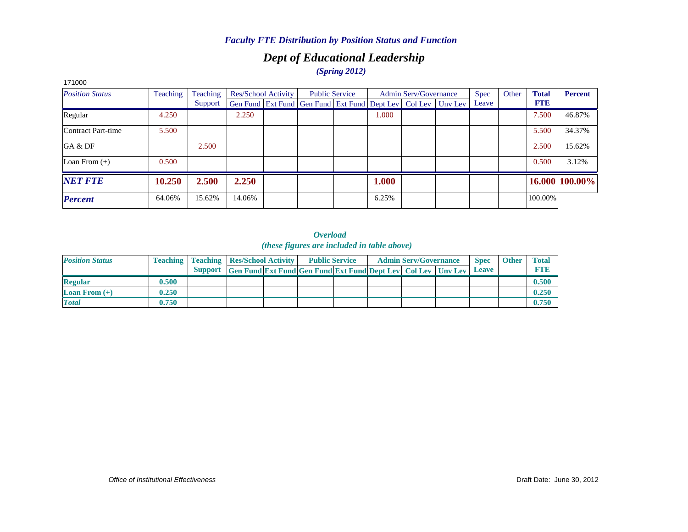## *Dept of Educational Leadership (Spring 2012)*

| 171000                 |          |          |        |                            |                                                                  |       |                              |             |       |              |                |
|------------------------|----------|----------|--------|----------------------------|------------------------------------------------------------------|-------|------------------------------|-------------|-------|--------------|----------------|
| <b>Position Status</b> | Teaching | Teaching |        | <b>Res/School Activity</b> | <b>Public Service</b>                                            |       | <b>Admin Serv/Governance</b> | <b>Spec</b> | Other | <b>Total</b> | Percent        |
|                        |          | Support  |        |                            | Gen Fund Ext Fund Gen Fund Ext Fund Dept Lev   Col Lev   Unv Lev |       |                              | Leave       |       | <b>FTE</b>   |                |
| Regular                | 4.250    |          | 2.250  |                            |                                                                  | 1.000 |                              |             |       | 7.500        | 46.87%         |
| Contract Part-time     | 5.500    |          |        |                            |                                                                  |       |                              |             |       | 5.500        | 34.37%         |
| GA & DF                |          | 2.500    |        |                            |                                                                  |       |                              |             |       | 2.500        | 15.62%         |
| Loan From $(+)$        | 0.500    |          |        |                            |                                                                  |       |                              |             |       | 0.500        | 3.12%          |
| <b>NET FTE</b>         | 10.250   | 2.500    | 2.250  |                            |                                                                  | 1.000 |                              |             |       |              | 16.000 100.00% |
| <b>Percent</b>         | 64.06%   | 15.62%   | 14.06% |                            |                                                                  | 6.25% |                              |             |       | 100.00%      |                |

| <b>Position Status</b>            |       | <b>Teaching   Teaching   Res/School Activity  </b> |                                                                          | <b>Public Service</b> |  | <b>Admin Serv/Governance</b> | <b>Spec</b> | <b>Other</b> | <b>Total</b> |
|-----------------------------------|-------|----------------------------------------------------|--------------------------------------------------------------------------|-----------------------|--|------------------------------|-------------|--------------|--------------|
|                                   |       |                                                    | Support Gen Fund Ext Fund Gen Fund Ext Fund Dept Lev   Col Lev   Unv Lev |                       |  |                              | Leave       |              |              |
| <b>Regular</b>                    | 0.500 |                                                    |                                                                          |                       |  |                              |             |              | 0.500        |
| <b>Loan From <math>(+)</math></b> | 0.250 |                                                    |                                                                          |                       |  |                              |             |              | 0.250        |
| <b>Total</b>                      | 0.750 |                                                    |                                                                          |                       |  |                              |             |              | 0.750        |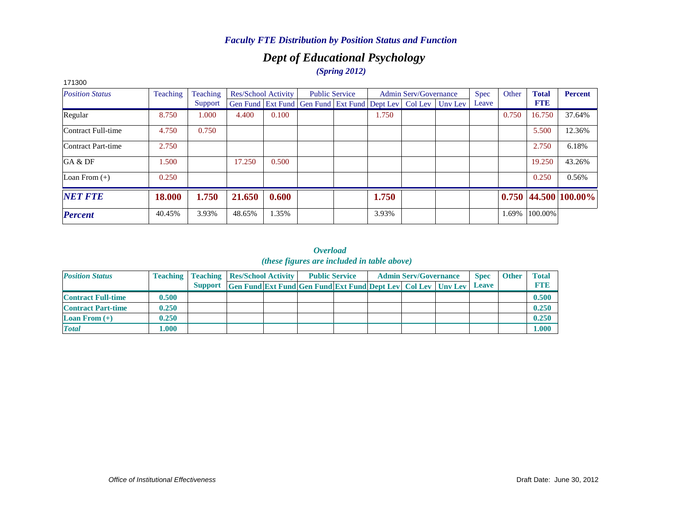## *Dept of Educational Psychology (Spring 2012)*

| 171300                 |          |          |        |                            |                                                        |                       |       |                              |         |             |       |              |                            |
|------------------------|----------|----------|--------|----------------------------|--------------------------------------------------------|-----------------------|-------|------------------------------|---------|-------------|-------|--------------|----------------------------|
| <b>Position Status</b> | Teaching | Teaching |        | <b>Res/School Activity</b> |                                                        | <b>Public Service</b> |       | <b>Admin Serv/Governance</b> |         | <b>Spec</b> | Other | <b>Total</b> | <b>Percent</b>             |
|                        |          | Support  |        |                            | Gen Fund Ext Fund Gen Fund Ext Fund Dept Lev   Col Lev |                       |       |                              | Unv Lev | Leave       |       | <b>FTE</b>   |                            |
| Regular                | 8.750    | 1.000    | 4.400  | 0.100                      |                                                        |                       | 1.750 |                              |         |             | 0.750 | 16.750       | 37.64%                     |
| Contract Full-time     | 4.750    | 0.750    |        |                            |                                                        |                       |       |                              |         |             |       | 5.500        | 12.36%                     |
| Contract Part-time     | 2.750    |          |        |                            |                                                        |                       |       |                              |         |             |       | 2.750        | 6.18%                      |
| GA & DF                | 1.500    |          | 17.250 | 0.500                      |                                                        |                       |       |                              |         |             |       | 19.250       | 43.26%                     |
| Loan From $(+)$        | 0.250    |          |        |                            |                                                        |                       |       |                              |         |             |       | 0.250        | 0.56%                      |
| <b>NET FTE</b>         | 18.000   | 1.750    | 21.650 | 0.600                      |                                                        |                       | 1.750 |                              |         |             |       |              | $0.750$   44.500   100.00% |
| <b>Percent</b>         | 40.45%   | 3.93%    | 48.65% | 1.35%                      |                                                        |                       | 3.93% |                              |         |             | 1.69% | 100.00%      |                            |

| <b>Position Status</b>    |       | <b>Teaching   Teaching   Res/School Activity  </b> |                                                                     | <b>Public Service</b> |  | <b>Admin Serv/Governance</b> | <b>Spec</b>  | <b>Other</b> | <b>Total</b> |
|---------------------------|-------|----------------------------------------------------|---------------------------------------------------------------------|-----------------------|--|------------------------------|--------------|--------------|--------------|
|                           |       | <b>Support</b>                                     | <b>Gen Fund Ext Fund Gen Fund Ext Fund Dept Lev Col Lev Unv Lev</b> |                       |  |                              | <b>Leave</b> |              | <b>FTE</b>   |
| <b>Contract Full-time</b> | 0.500 |                                                    |                                                                     |                       |  |                              |              |              | 0.500        |
| <b>Contract Part-time</b> | 0.250 |                                                    |                                                                     |                       |  |                              |              |              | 0.250        |
| <b>Loan From</b> $(+)$    | 0.250 |                                                    |                                                                     |                       |  |                              |              |              | 0.250        |
| <b>Total</b>              | .000. |                                                    |                                                                     |                       |  |                              |              |              | 1.000        |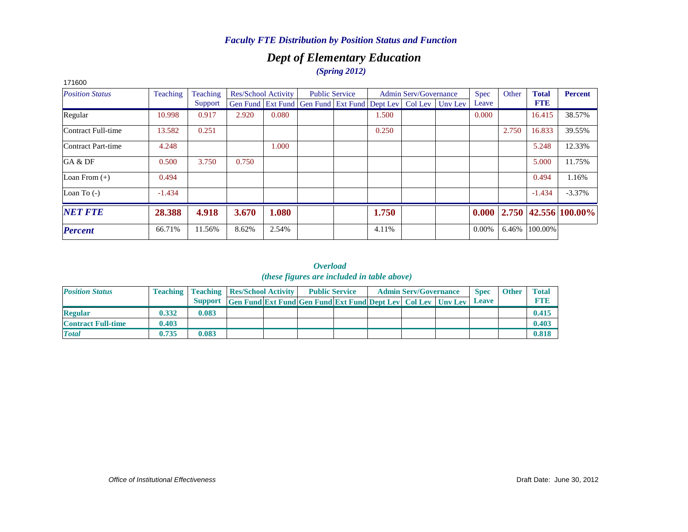## *Dept of Elementary Education (Spring 2012)*

| 171600                 |          |          |       |                     |                                                                |                       |       |                              |         |          |       |              |                      |
|------------------------|----------|----------|-------|---------------------|----------------------------------------------------------------|-----------------------|-------|------------------------------|---------|----------|-------|--------------|----------------------|
| <b>Position Status</b> | Teaching | Teaching |       | Res/School Activity |                                                                | <b>Public Service</b> |       | <b>Admin Serv/Governance</b> |         | Spec     | Other | <b>Total</b> | <b>Percent</b>       |
|                        |          | Support  |       |                     | Gen Fund   Ext Fund   Gen Fund   Ext Fund   Dept Lev   Col Lev |                       |       |                              | Unv Lev | Leave    |       | <b>FTE</b>   |                      |
| Regular                | 10.998   | 0.917    | 2.920 | 0.080               |                                                                |                       | 1.500 |                              |         | 0.000    |       | 16.415       | 38.57%               |
| Contract Full-time     | 13.582   | 0.251    |       |                     |                                                                |                       | 0.250 |                              |         |          | 2.750 | 16.833       | 39.55%               |
| Contract Part-time     | 4.248    |          |       | 1.000               |                                                                |                       |       |                              |         |          |       | 5.248        | 12.33%               |
| GA & DF                | 0.500    | 3.750    | 0.750 |                     |                                                                |                       |       |                              |         |          |       | 5.000        | 11.75%               |
| Loan From $(+)$        | 0.494    |          |       |                     |                                                                |                       |       |                              |         |          |       | 0.494        | 1.16%                |
| Loan To $(-)$          | $-1.434$ |          |       |                     |                                                                |                       |       |                              |         |          |       | $-1.434$     | $-3.37%$             |
| <b>NET FTE</b>         | 28.388   | 4.918    | 3.670 | 1.080               |                                                                |                       | 1.750 |                              |         | 0.000    |       |              | 2.750 42.556 100.00% |
| <b>Percent</b>         | 66.71%   | 11.56%   | 8.62% | 2.54%               |                                                                |                       | 4.11% |                              |         | $0.00\%$ | 6.46% | 100.00%      |                      |

*Overload (these figures are included in table above)*

| <b>Position Status</b>    |       | <b>Teaching   Teaching   Res/School Activity  </b> |                                                                     | <b>Public Service</b> |  | <b>Admin Serv/Governance</b> | <b>Spec</b> | <b>Other</b> | <b>Total</b> |
|---------------------------|-------|----------------------------------------------------|---------------------------------------------------------------------|-----------------------|--|------------------------------|-------------|--------------|--------------|
|                           |       | <b>Support</b>                                     | <b>Gen Fund Ext Fund Gen Fund Ext Fund Dept Lev Col Lev Unv Lev</b> |                       |  |                              | Leave       |              | <b>FTI3</b>  |
| <b>Regular</b>            | 0.332 | 0.083                                              |                                                                     |                       |  |                              |             |              | 0.415        |
| <b>Contract Full-time</b> | 0.403 |                                                    |                                                                     |                       |  |                              |             |              | 0.403        |
| <b>Total</b>              | 0.735 | 0.083                                              |                                                                     |                       |  |                              |             |              | 0.818        |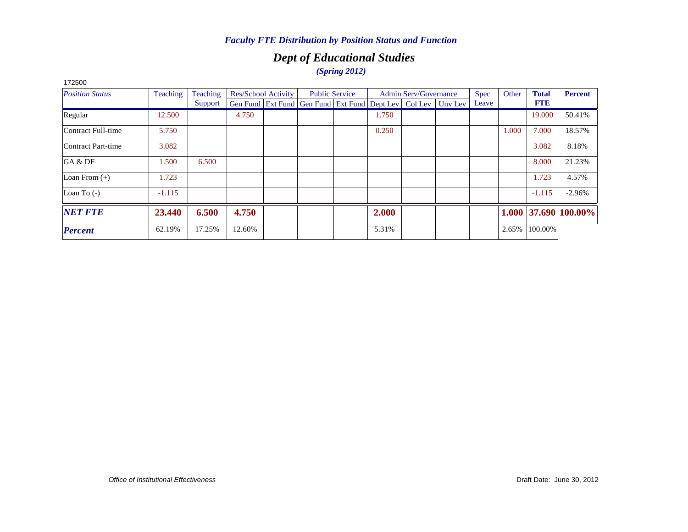## *Dept of Educational Studies (Spring 2012)*

| 172500                 |          |          |        |                            |                                                              |                       |       |                              |             |       |              |                        |
|------------------------|----------|----------|--------|----------------------------|--------------------------------------------------------------|-----------------------|-------|------------------------------|-------------|-------|--------------|------------------------|
| <b>Position Status</b> | Teaching | Teaching |        | <b>Res/School Activity</b> |                                                              | <b>Public Service</b> |       | <b>Admin Serv/Governance</b> | <b>Spec</b> | Other | <b>Total</b> | Percent                |
|                        |          | Support  |        |                            | Gen Fund Ext Fund Gen Fund Ext Fund Dept Lev Col Lev Unv Lev |                       |       |                              | Leave       |       | <b>FTE</b>   |                        |
| Regular                | 12.500   |          | 4.750  |                            |                                                              |                       | 1.750 |                              |             |       | 19.000       | 50.41%                 |
| Contract Full-time     | 5.750    |          |        |                            |                                                              |                       | 0.250 |                              |             | 1.000 | 7.000        | 18.57%                 |
| Contract Part-time     | 3.082    |          |        |                            |                                                              |                       |       |                              |             |       | 3.082        | 8.18%                  |
| GA & DF                | 1.500    | 6.500    |        |                            |                                                              |                       |       |                              |             |       | 8.000        | 21.23%                 |
| Loan From $(+)$        | 1.723    |          |        |                            |                                                              |                       |       |                              |             |       | 1.723        | 4.57%                  |
| Loan To $(-)$          | $-1.115$ |          |        |                            |                                                              |                       |       |                              |             |       | $-1.115$     | $-2.96%$               |
| <b>NET FTE</b>         | 23.440   | 6.500    | 4.750  |                            |                                                              |                       | 2.000 |                              |             |       |              | $1.000$ 37.690 100.00% |
| <b>Percent</b>         | 62.19%   | 17.25%   | 12.60% |                            |                                                              |                       | 5.31% |                              |             | 2.65% | 100.00%      |                        |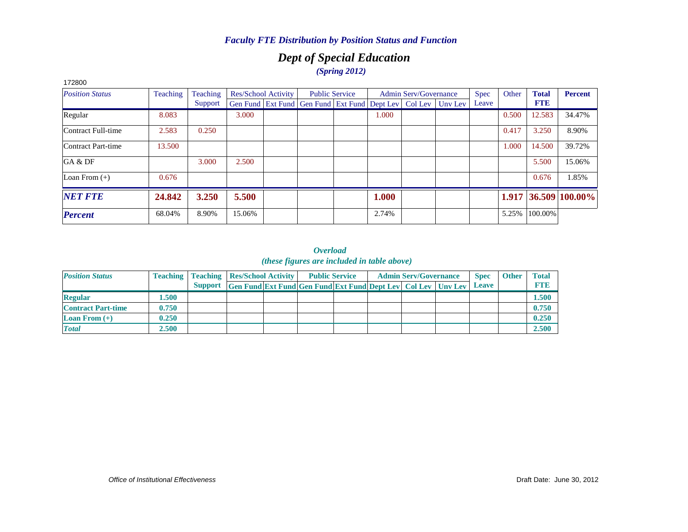## *Dept of Special Education (Spring 2012)*

| 172800                 |          |          |        |                            |                                                                |                       |       |                              |         |       |       |              |                      |
|------------------------|----------|----------|--------|----------------------------|----------------------------------------------------------------|-----------------------|-------|------------------------------|---------|-------|-------|--------------|----------------------|
| <b>Position Status</b> | Teaching | Teaching |        | <b>Res/School Activity</b> |                                                                | <b>Public Service</b> |       | <b>Admin Serv/Governance</b> |         | Spec  | Other | <b>Total</b> | <b>Percent</b>       |
|                        |          | Support  |        |                            | Gen Fund   Ext Fund   Gen Fund   Ext Fund   Dept Lev   Col Lev |                       |       |                              | Uny Lev | Leave |       | <b>FTE</b>   |                      |
| Regular                | 8.083    |          | 3.000  |                            |                                                                |                       | 1.000 |                              |         |       | 0.500 | 12.583       | 34.47%               |
| Contract Full-time     | 2.583    | 0.250    |        |                            |                                                                |                       |       |                              |         |       | 0.417 | 3.250        | 8.90%                |
| Contract Part-time     | 13.500   |          |        |                            |                                                                |                       |       |                              |         |       | 1.000 | 14.500       | 39.72%               |
| GA & DF                |          | 3.000    | 2.500  |                            |                                                                |                       |       |                              |         |       |       | 5.500        | 15.06%               |
| Loan From $(+)$        | 0.676    |          |        |                            |                                                                |                       |       |                              |         |       |       | 0.676        | 1.85%                |
| <b>NET FTE</b>         | 24.842   | 3.250    | 5.500  |                            |                                                                |                       | 1.000 |                              |         |       |       |              | 1.917 36.509 100.00% |
| <b>Percent</b>         | 68.04%   | 8.90%    | 15.06% |                            |                                                                |                       | 2.74% |                              |         |       | 5.25% | 100.00%      |                      |

| <b>Position Status</b>    |       | <b>Teaching   Teaching   Res/School Activity  </b> |                                                                     | <b>Public Service</b> |  | <b>Admin Serv/Governance</b> | <b>Spec</b>  | <b>Other</b> | <b>Total</b> |
|---------------------------|-------|----------------------------------------------------|---------------------------------------------------------------------|-----------------------|--|------------------------------|--------------|--------------|--------------|
|                           |       | <b>Support</b>                                     | <b>Gen Fund Ext Fund Gen Fund Ext Fund Dept Lev Col Lev Unv Lev</b> |                       |  |                              | <b>Leave</b> |              | <b>FTB</b>   |
| <b>Regular</b>            | .500  |                                                    |                                                                     |                       |  |                              |              |              | 1.500        |
| <b>Contract Part-time</b> | 0.750 |                                                    |                                                                     |                       |  |                              |              |              | 0.750        |
| <b>Loan From</b> $(+)$    | 0.250 |                                                    |                                                                     |                       |  |                              |              |              | 0.250        |
| <b>Total</b>              | 2.500 |                                                    |                                                                     |                       |  |                              |              |              | 2.500        |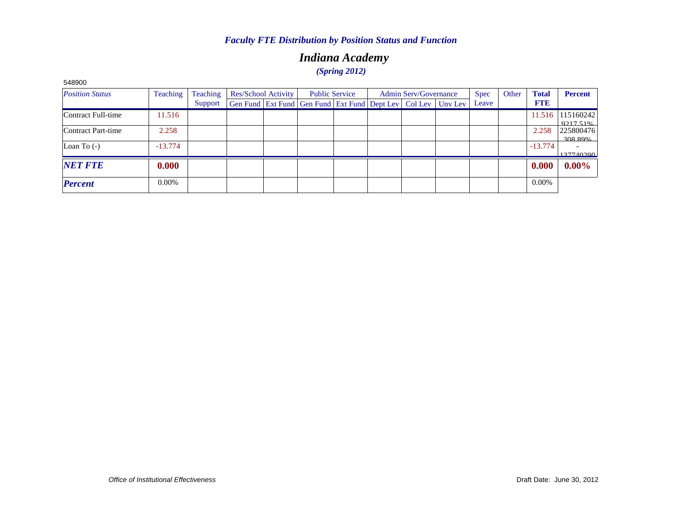## *Indiana Academy (Spring 2012)*

| 548900                 |           |          |                     |                                                                  |                       |                              |             |       |              |                      |
|------------------------|-----------|----------|---------------------|------------------------------------------------------------------|-----------------------|------------------------------|-------------|-------|--------------|----------------------|
| <b>Position Status</b> | Teaching  | Teaching | Res/School Activity |                                                                  | <b>Public Service</b> | <b>Admin Serv/Governance</b> | <b>Spec</b> | Other | <b>Total</b> | <b>Percent</b>       |
|                        |           | Support  |                     | Gen Fund Ext Fund Gen Fund Ext Fund Dept Lev   Col Lev   Unv Lev |                       |                              | Leave       |       | <b>FTE</b>   |                      |
| Contract Full-time     | 11.516    |          |                     |                                                                  |                       |                              |             |       | 11.516       | 115160242<br>0217510 |
| Contract Part-time     | 2.258     |          |                     |                                                                  |                       |                              |             |       | 2.258        | 225800476<br>308.80% |
| Loan To $(-)$          | $-13.774$ |          |                     |                                                                  |                       |                              |             |       | $-13.774$    | 137740200            |
| <b>NET FTE</b>         | 0.000     |          |                     |                                                                  |                       |                              |             |       | 0.000        | $0.00\%$             |
| <b>Percent</b>         | $0.00\%$  |          |                     |                                                                  |                       |                              |             |       | 0.00%        |                      |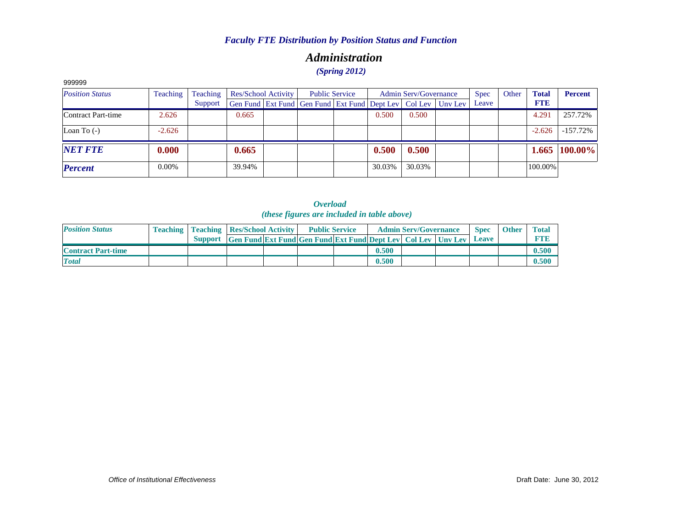## *Administration (Spring 2012)*

| 999999                 |          |          |        |                     |                                                              |                       |        |                              |             |       |              |                 |
|------------------------|----------|----------|--------|---------------------|--------------------------------------------------------------|-----------------------|--------|------------------------------|-------------|-------|--------------|-----------------|
| <b>Position Status</b> | Teaching | Teaching |        | Res/School Activity |                                                              | <b>Public Service</b> |        | <b>Admin Serv/Governance</b> | <b>Spec</b> | Other | <b>Total</b> | <b>Percent</b>  |
|                        |          | Support  |        |                     | Gen Fund Ext Fund Gen Fund Ext Fund Dept Lev Col Lev Unv Lev |                       |        |                              | Leave       |       | <b>FTE</b>   |                 |
| Contract Part-time     | 2.626    |          | 0.665  |                     |                                                              |                       | 0.500  | 0.500                        |             |       | 4.291        | 257.72%         |
| Loan To $(-)$          | $-2.626$ |          |        |                     |                                                              |                       |        |                              |             |       | $-2.626$     | $-157.72\%$     |
| <b>NET FTE</b>         | 0.000    |          | 0.665  |                     |                                                              |                       | 0.500  | 0.500                        |             |       |              | $1.665$ 100.00% |
| <b>Percent</b>         | $0.00\%$ |          | 39.94% |                     |                                                              |                       | 30.03% | 30.03%                       |             |       | 100.00%      |                 |

*Overload (these figures are included in table above)*

| <b>Position Status</b>    | <b>Teaching   Teaching   Res/School Activity  </b> |                                                                      | <b>Public Service</b> |       | <b>Admin Serv/Governance</b> | <b>Spec</b>  | <b>Other</b> | <b>Total</b> |
|---------------------------|----------------------------------------------------|----------------------------------------------------------------------|-----------------------|-------|------------------------------|--------------|--------------|--------------|
|                           |                                                    | Support Gen Fund Ext Fund Gen Fund Ext Fund Dept Lev Col Lev Unv Lev |                       |       |                              | <b>Leave</b> |              |              |
| <b>Contract Part-time</b> |                                                    |                                                                      |                       | 0.500 |                              |              |              | 0.500        |
| <b>Total</b>              |                                                    |                                                                      |                       | 0.500 |                              |              |              | 0.500        |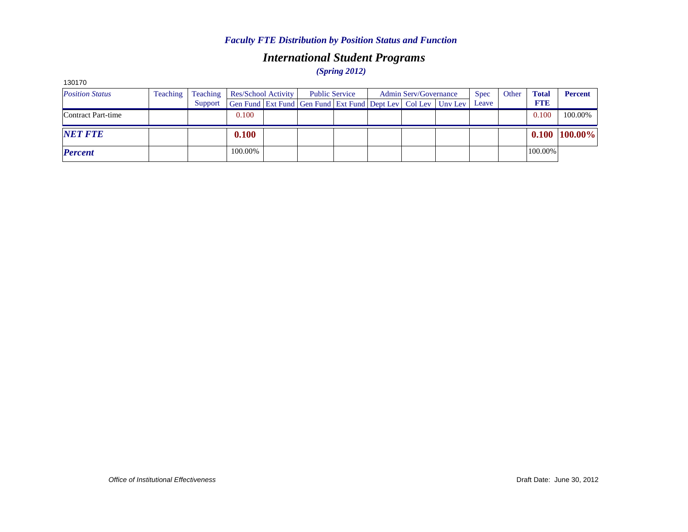## *International Student Programs (Spring 2012)*

| 130170                 |          |          |                     |                                                                          |  |                              |             |       |              |                 |
|------------------------|----------|----------|---------------------|--------------------------------------------------------------------------|--|------------------------------|-------------|-------|--------------|-----------------|
| <b>Position Status</b> | Teaching | Teaching | Res/School Activity | <b>Public Service</b>                                                    |  | <b>Admin Serv/Governance</b> | <b>Spec</b> | Other | <b>Total</b> | <b>Percent</b>  |
|                        |          | Support  |                     | Gen Fund   Ext Fund   Gen Fund   Ext Fund   Dept Lev   Col Lev   Unv Lev |  |                              | Leave       |       | <b>FTE</b>   |                 |
| Contract Part-time     |          |          | 0.100               |                                                                          |  |                              |             |       | 0.100        | 100.00%         |
| <b>NET FTE</b>         |          |          | 0.100               |                                                                          |  |                              |             |       |              | $0.100$ 100.00% |
| <b>Percent</b>         |          |          | 100.00%             |                                                                          |  |                              |             |       | 100.00%      |                 |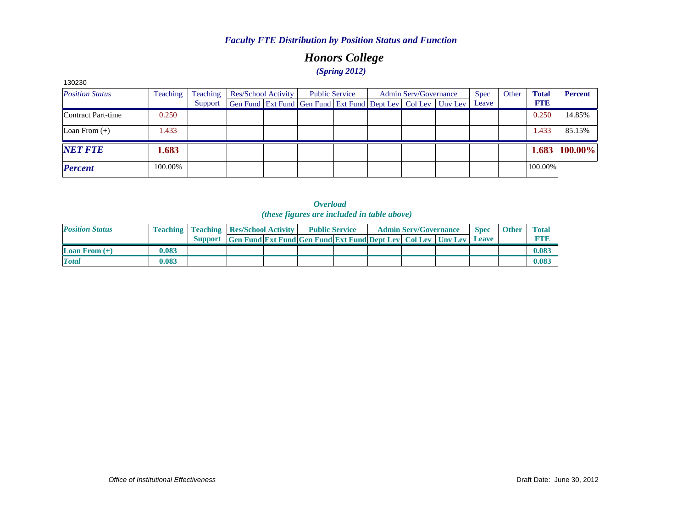## *Honors College (Spring 2012)*

| 130230                 |          |          |                            |  |                                                                          |  |                              |  |  |             |       |              |         |
|------------------------|----------|----------|----------------------------|--|--------------------------------------------------------------------------|--|------------------------------|--|--|-------------|-------|--------------|---------|
| <b>Position Status</b> | Teaching | Teaching | <b>Res/School Activity</b> |  | <b>Public Service</b>                                                    |  | <b>Admin Serv/Governance</b> |  |  | <b>Spec</b> | Other | <b>Total</b> | Percent |
|                        |          | Support  |                            |  | Gen Fund   Ext Fund   Gen Fund   Ext Fund   Dept Lev   Col Lev   Unv Lev |  |                              |  |  | Leave       |       | <b>FTE</b>   |         |
| Contract Part-time     | 0.250    |          |                            |  |                                                                          |  |                              |  |  |             |       | 0.250        | 14.85%  |
| Loan From $(+)$        | 1.433    |          |                            |  |                                                                          |  |                              |  |  |             |       | 1.433        | 85.15%  |
| <b>NET FTE</b>         | 1.683    |          |                            |  |                                                                          |  |                              |  |  |             |       | 1.683        | 100.00% |
| <b>Percent</b>         | 100.00%  |          |                            |  |                                                                          |  |                              |  |  |             |       | 100.00%      |         |

*Overload (these figures are included in table above)*

| <b>Position Status</b> |       | <b>Teaching   Teaching   Res/School Activity</b>                     |  | <b>Public Service</b> |  | <b>Admin Serv/Governance</b> | <b>Spec</b> | <b>Other</b> | <b>Total</b>   |
|------------------------|-------|----------------------------------------------------------------------|--|-----------------------|--|------------------------------|-------------|--------------|----------------|
|                        |       | Support Gen Fund Ext Fund Gen Fund Ext Fund Dept Lev Col Lev Unv Lev |  |                       |  |                              | Leave       |              |                |
| <b>Loan From</b> $(+)$ | 0.083 |                                                                      |  |                       |  |                              |             |              | 0.083          |
| <b>Total</b>           | 0.083 |                                                                      |  |                       |  |                              |             |              | $0.08^{\circ}$ |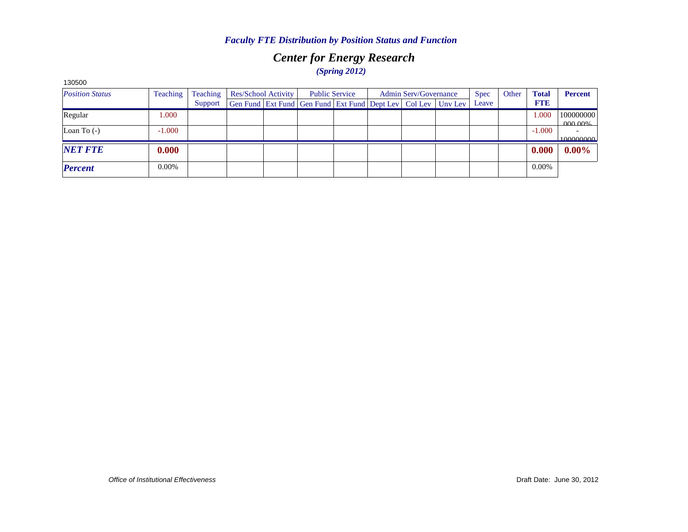## *Center for Energy Research (Spring 2012)*

| 130500                 |          |          |                            |  |                                                                          |  |                              |  |  |             |       |              |                              |
|------------------------|----------|----------|----------------------------|--|--------------------------------------------------------------------------|--|------------------------------|--|--|-------------|-------|--------------|------------------------------|
| <b>Position Status</b> | Teaching | Teaching | <b>Res/School Activity</b> |  | <b>Public Service</b>                                                    |  | <b>Admin Serv/Governance</b> |  |  | <b>Spec</b> | Other | <b>Total</b> | Percent                      |
|                        |          | Support  |                            |  | Gen Fund   Ext Fund   Gen Fund   Ext Fund   Dept Lev   Col Lev   Unv Lev |  |                              |  |  | Leave       |       | <b>FTE</b>   |                              |
| Regular                | 1.000    |          |                            |  |                                                                          |  |                              |  |  |             |       | 1.000        | 100000000<br><u>000 00% </u> |
| Loan To $(-)$          | $-1.000$ |          |                            |  |                                                                          |  |                              |  |  |             |       | $-1.000$     | 100000000                    |
| <b>NET FTE</b>         | 0.000    |          |                            |  |                                                                          |  |                              |  |  |             |       | 0.000        | $0.00\%$                     |
| <b>Percent</b>         | 0.00%    |          |                            |  |                                                                          |  |                              |  |  |             |       | 0.00%        |                              |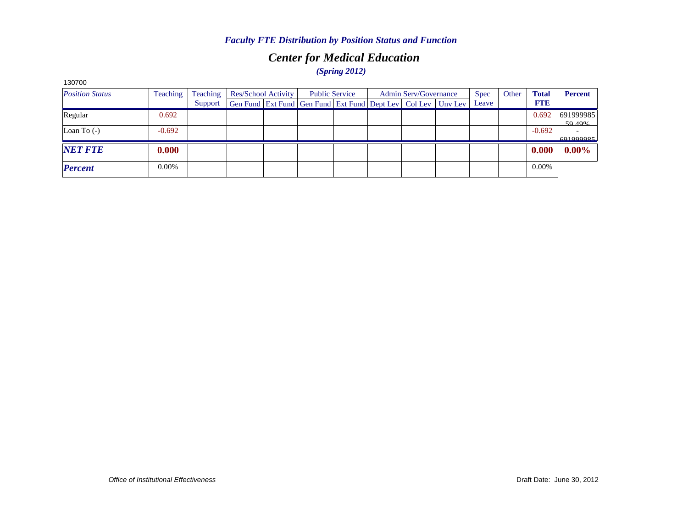## *Center for Medical Education (Spring 2012)*

| 130700                 |          |          |                     |  |                                                                          |  |                              |  |  |             |       |                                 |                     |
|------------------------|----------|----------|---------------------|--|--------------------------------------------------------------------------|--|------------------------------|--|--|-------------|-------|---------------------------------|---------------------|
| <b>Position Status</b> | Teaching | Teaching | Res/School Activity |  | <b>Public Service</b>                                                    |  | <b>Admin Serv/Governance</b> |  |  | <b>Spec</b> | Other | <b>Total</b>                    | Percent             |
|                        |          | Support  |                     |  | Gen Fund   Ext Fund   Gen Fund   Ext Fund   Dept Lev   Col Lev   Unv Lev |  |                              |  |  | Leave       |       | <b>FTE</b><br>0.692<br>$-0.692$ |                     |
| Regular                | 0.692    |          |                     |  |                                                                          |  |                              |  |  |             |       |                                 | 691999985<br>50 40% |
| Loan To $(-)$          | $-0.692$ |          |                     |  |                                                                          |  |                              |  |  |             |       |                                 | 601000085           |
| <b>NET FTE</b>         | 0.000    |          |                     |  |                                                                          |  |                              |  |  |             |       | 0.000                           | $0.00\%$            |
| <b>Percent</b>         | $0.00\%$ |          |                     |  |                                                                          |  |                              |  |  |             |       | 0.00%                           |                     |